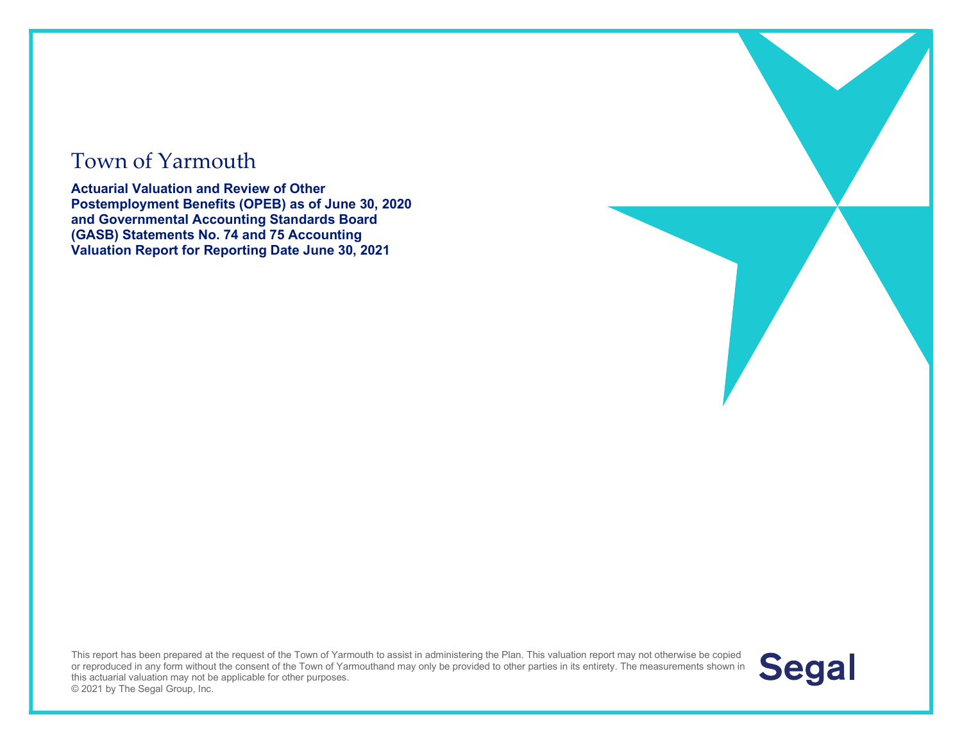#### Town of Yarmouth

Actuarial Valuation and Review of Other Postemployment Benefits (OPEB) as of June 30, 2020 and Governmental Accounting Standards Board (GASB) Statements No. 74 and 75 Accounting Valuation Report for Reporting Date June 30, 2021

This report has been prepared at the request of the Town of Yarmouth to assist in administering the Plan. This valuation report may not otherwise be copied or reproduced in any form without the consent of the Town of Yarmouthand may only be provided to other parties in its entirety. The measurements shown in this actuarial valuation may not be applicable for other purposes. © 2021 by The Segal Group, Inc.

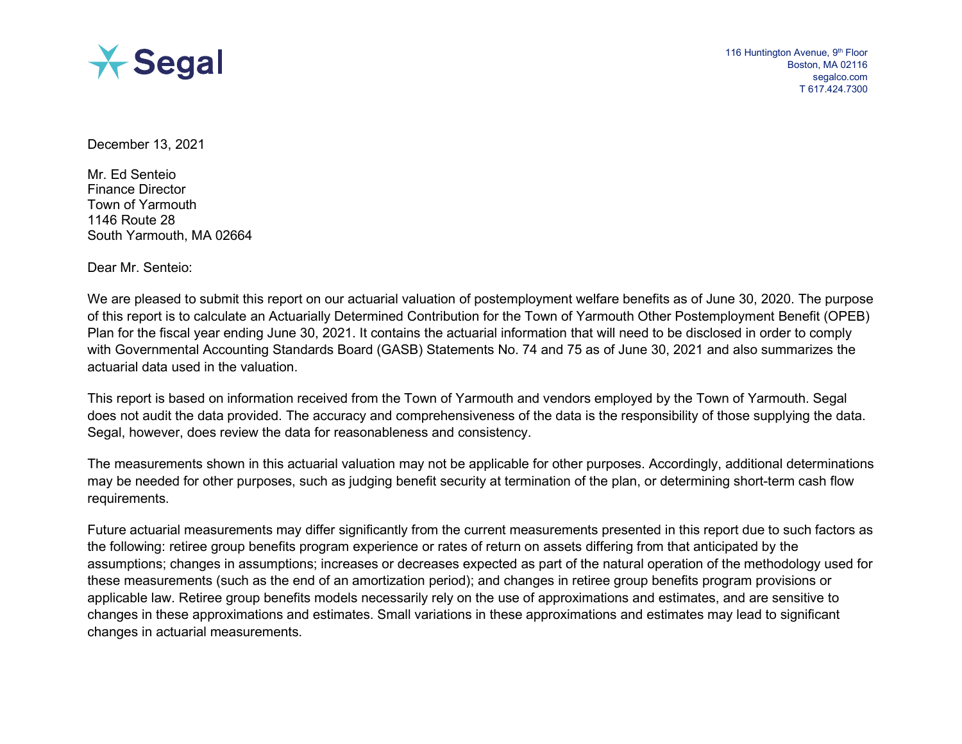

December 13, 2021

Mr. Ed Senteio Finance Director Town of Yarmouth 1146 Route 28 South Yarmouth, MA 02664

Dear Mr. Senteio:

We are pleased to submit this report on our actuarial valuation of postemployment welfare benefits as of June 30, 2020. The purpose of this report is to calculate an Actuarially Determined Contribution for the Town of Yarmouth Other Postemployment Benefit (OPEB) Plan for the fiscal year ending June 30, 2021. It contains the actuarial information that will need to be disclosed in order to comply with Governmental Accounting Standards Board (GASB) Statements No. 74 and 75 as of June 30, 2021 and also summarizes the actuarial data used in the valuation.

This report is based on information received from the Town of Yarmouth and vendors employed by the Town of Yarmouth. Segal does not audit the data provided. The accuracy and comprehensiveness of the data is the responsibility of those supplying the data. Segal, however, does review the data for reasonableness and consistency.

The measurements shown in this actuarial valuation may not be applicable for other purposes. Accordingly, additional determinations may be needed for other purposes, such as judging benefit security at termination of the plan, or determining short-term cash flow requirements.

Future actuarial measurements may differ significantly from the current measurements presented in this report due to such factors as the following: retiree group benefits program experience or rates of return on assets differing from that anticipated by the assumptions; changes in assumptions; increases or decreases expected as part of the natural operation of the methodology used for these measurements (such as the end of an amortization period); and changes in retiree group benefits program provisions or applicable law. Retiree group benefits models necessarily rely on the use of approximations and estimates, and are sensitive to changes in these approximations and estimates. Small variations in these approximations and estimates may lead to significant changes in actuarial measurements.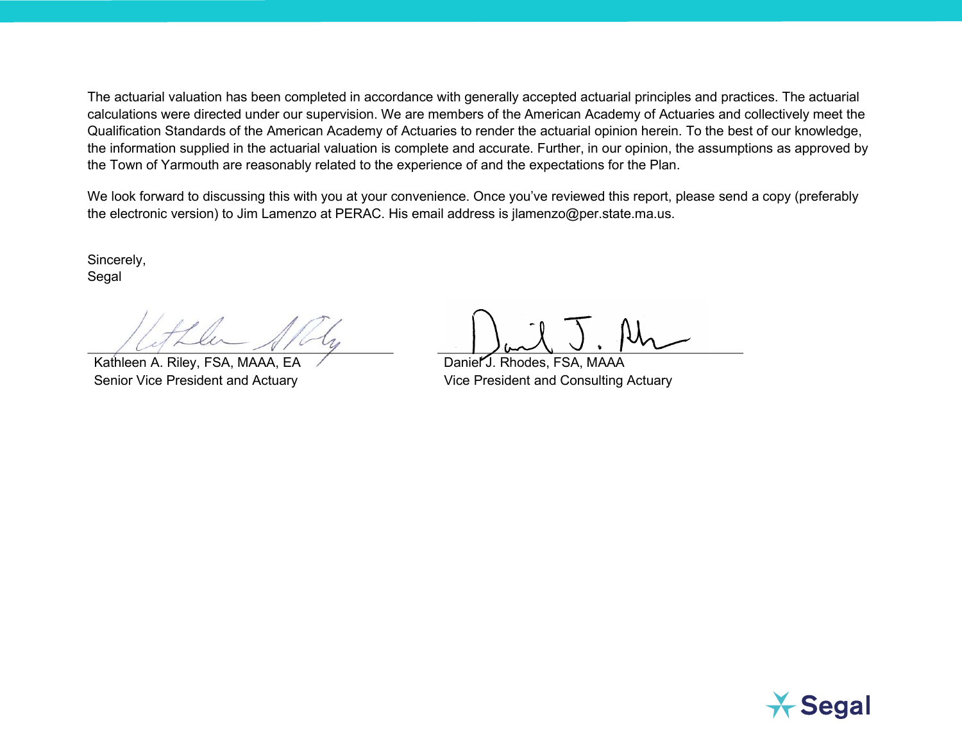The actuarial valuation has been completed in accordance with generally accepted actuarial principles and practices. The actuarial calculations were directed under our supervision. We are members of the American Academy of Actuaries and collectively meet the Qualification Standards of the American Academy of Actuaries to render the actuarial opinion herein. To the best of our knowledge, the information supplied in the actuarial valuation is complete and accurate. Further, in our opinion, the assumptions as approved by the Town of Yarmouth are reasonably related to the experience of and the expectations for the Plan.

We look forward to discussing this with you at your convenience. Once you've reviewed this report, please send a copy (preferably the electronic version) to Jim Lamenzo at PERAC. His email address is jlamenzo@per.state.ma.us.

Sincerely, Segal

Kathleen A. Riley, FSA, MAAA, EA Daniel J. Rhodes, FSA, MAAA

Senior Vice President and Actuary Vice President and Consulting Actuary

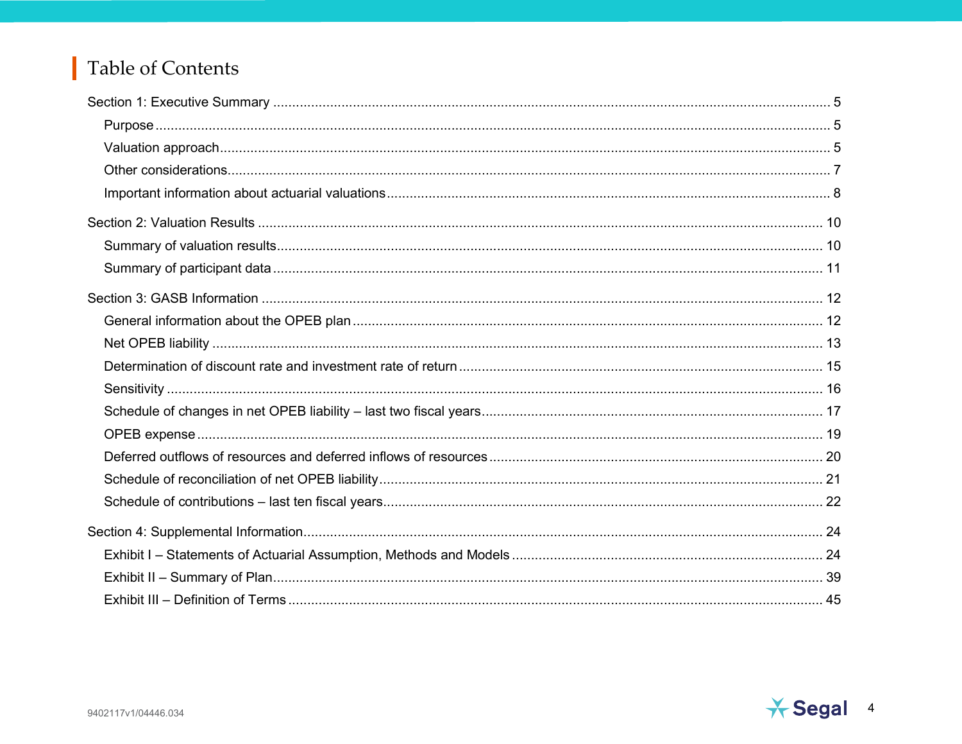#### Table of Contents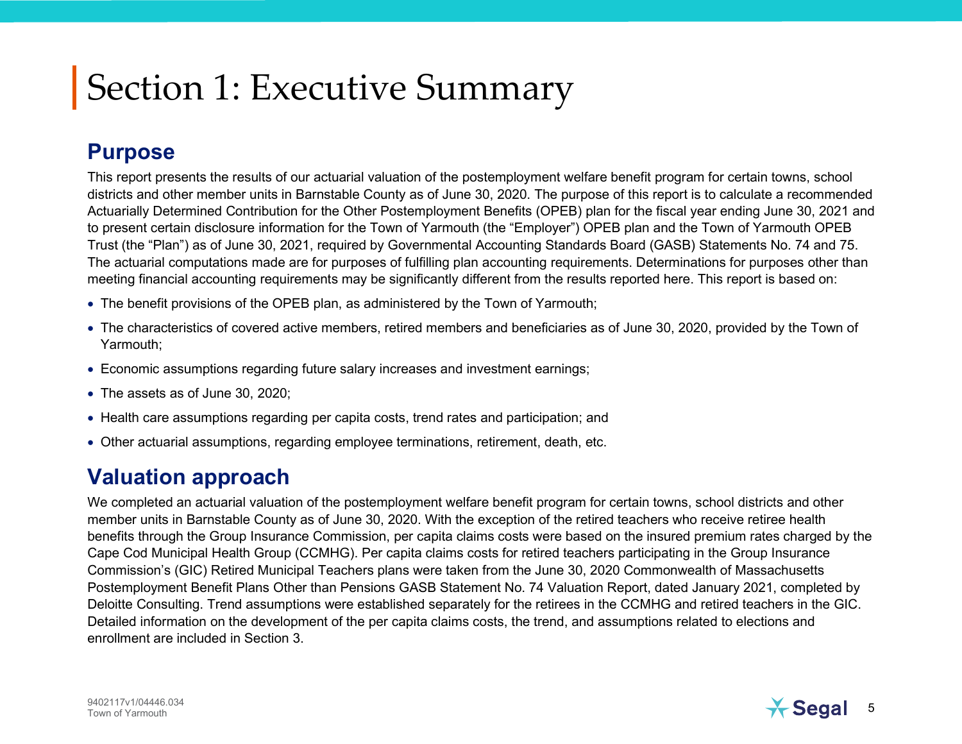#### **Purpose**

This report presents the results of our actuarial valuation of the postemployment welfare benefit program for certain towns, school districts and other member units in Barnstable County as of June 30, 2020. The purpose of this report is to calculate a recommended Actuarially Determined Contribution for the Other Postemployment Benefits (OPEB) plan for the fiscal year ending June 30, 2021 and to present certain disclosure information for the Town of Yarmouth (the "Employer") OPEB plan and the Town of Yarmouth OPEB Trust (the "Plan") as of June 30, 2021, required by Governmental Accounting Standards Board (GASB) Statements No. 74 and 75. The actuarial computations made are for purposes of fulfilling plan accounting requirements. Determinations for purposes other than meeting financial accounting requirements may be significantly different from the results reported here. This report is based on:

- The benefit provisions of the OPEB plan, as administered by the Town of Yarmouth;
- The characteristics of covered active members, retired members and beneficiaries as of June 30, 2020, provided by the Town of Yarmouth;
- Economic assumptions regarding future salary increases and investment earnings;
- The assets as of June 30, 2020:
- Health care assumptions regarding per capita costs, trend rates and participation; and
- Other actuarial assumptions, regarding employee terminations, retirement, death, etc.

#### Valuation approach

We completed an actuarial valuation of the postemployment welfare benefit program for certain towns, school districts and other member units in Barnstable County as of June 30, 2020. With the exception of the retired teachers who receive retiree health benefits through the Group Insurance Commission, per capita claims costs were based on the insured premium rates charged by the Cape Cod Municipal Health Group (CCMHG). Per capita claims costs for retired teachers participating in the Group Insurance Commission's (GIC) Retired Municipal Teachers plans were taken from the June 30, 2020 Commonwealth of Massachusetts Postemployment Benefit Plans Other than Pensions GASB Statement No. 74 Valuation Report, dated January 2021, completed by Deloitte Consulting. Trend assumptions were established separately for the retirees in the CCMHG and retired teachers in the GIC. Detailed information on the development of the per capita claims costs, the trend, and assumptions related to elections and enrollment are included in Section 3.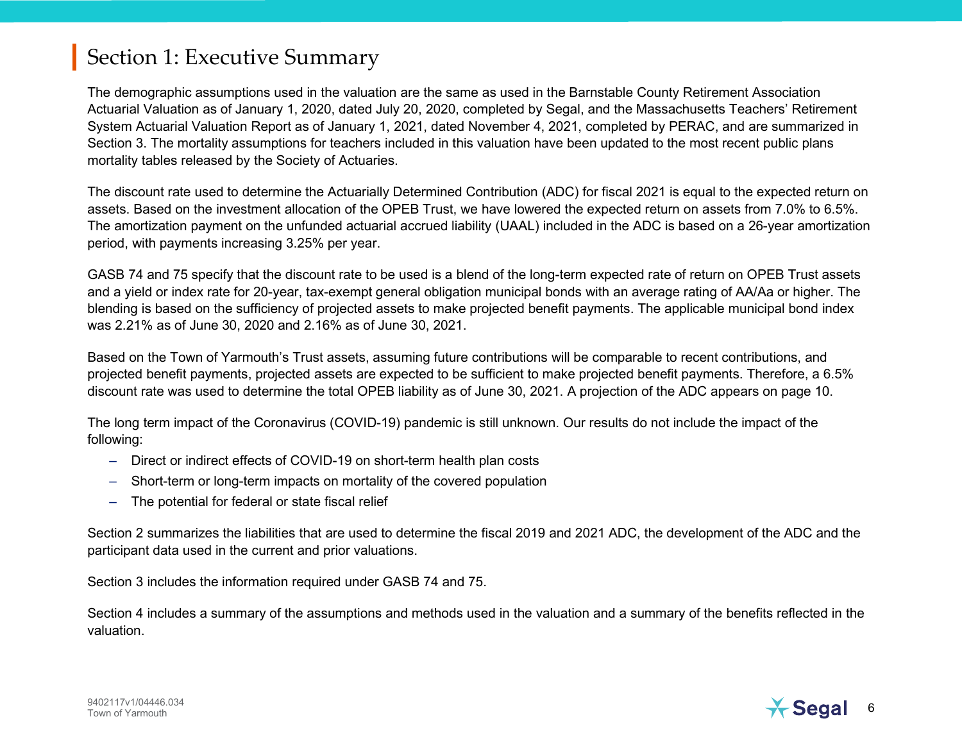The demographic assumptions used in the valuation are the same as used in the Barnstable County Retirement Association Actuarial Valuation as of January 1, 2020, dated July 20, 2020, completed by Segal, and the Massachusetts Teachers' Retirement System Actuarial Valuation Report as of January 1, 2021, dated November 4, 2021, completed by PERAC, and are summarized in Section 3. The mortality assumptions for teachers included in this valuation have been updated to the most recent public plans mortality tables released by the Society of Actuaries.

The discount rate used to determine the Actuarially Determined Contribution (ADC) for fiscal 2021 is equal to the expected return on assets. Based on the investment allocation of the OPEB Trust, we have lowered the expected return on assets from 7.0% to 6.5%. The amortization payment on the unfunded actuarial accrued liability (UAAL) included in the ADC is based on a 26-year amortization period, with payments increasing 3.25% per year.

GASB 74 and 75 specify that the discount rate to be used is a blend of the long-term expected rate of return on OPEB Trust assets and a yield or index rate for 20-year, tax-exempt general obligation municipal bonds with an average rating of AA/Aa or higher. The blending is based on the sufficiency of projected assets to make projected benefit payments. The applicable municipal bond index was 2.21% as of June 30, 2020 and 2.16% as of June 30, 2021.

Based on the Town of Yarmouth's Trust assets, assuming future contributions will be comparable to recent contributions, and projected benefit payments, projected assets are expected to be sufficient to make projected benefit payments. Therefore, a 6.5% discount rate was used to determine the total OPEB liability as of June 30, 2021. A projection of the ADC appears on page 10.

The long term impact of the Coronavirus (COVID-19) pandemic is still unknown. Our results do not include the impact of the following:

- Direct or indirect effects of COVID-19 on short-term health plan costs
- Short-term or long-term impacts on mortality of the covered population
- The potential for federal or state fiscal relief

Section 2 summarizes the liabilities that are used to determine the fiscal 2019 and 2021 ADC, the development of the ADC and the participant data used in the current and prior valuations.

Section 3 includes the information required under GASB 74 and 75.

Section 4 includes a summary of the assumptions and methods used in the valuation and a summary of the benefits reflected in the valuation.

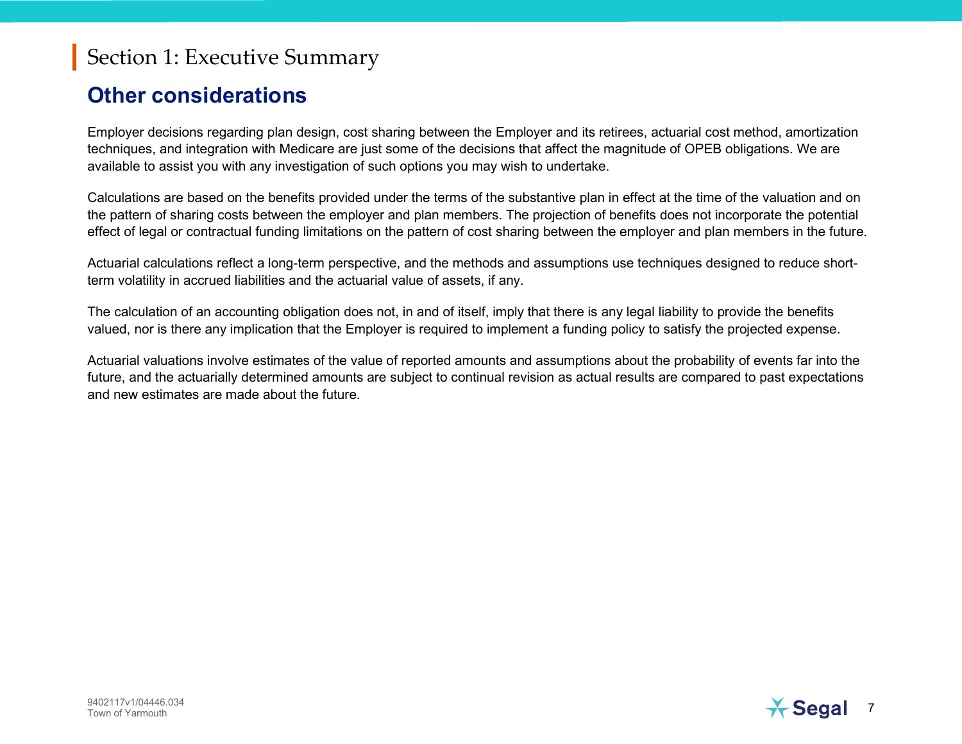#### Other considerations

Employer decisions regarding plan design, cost sharing between the Employer and its retirees, actuarial cost method, amortization techniques, and integration with Medicare are just some of the decisions that affect the magnitude of OPEB obligations. We are available to assist you with any investigation of such options you may wish to undertake.

Calculations are based on the benefits provided under the terms of the substantive plan in effect at the time of the valuation and on the pattern of sharing costs between the employer and plan members. The projection of benefits does not incorporate the potential effect of legal or contractual funding limitations on the pattern of cost sharing between the employer and plan members in the future.

Actuarial calculations reflect a long-term perspective, and the methods and assumptions use techniques designed to reduce shortterm volatility in accrued liabilities and the actuarial value of assets, if any.

The calculation of an accounting obligation does not, in and of itself, imply that there is any legal liability to provide the benefits valued, nor is there any implication that the Employer is required to implement a funding policy to satisfy the projected expense.

Actuarial valuations involve estimates of the value of reported amounts and assumptions about the probability of events far into the future, and the actuarially determined amounts are subject to continual revision as actual results are compared to past expectations and new estimates are made about the future.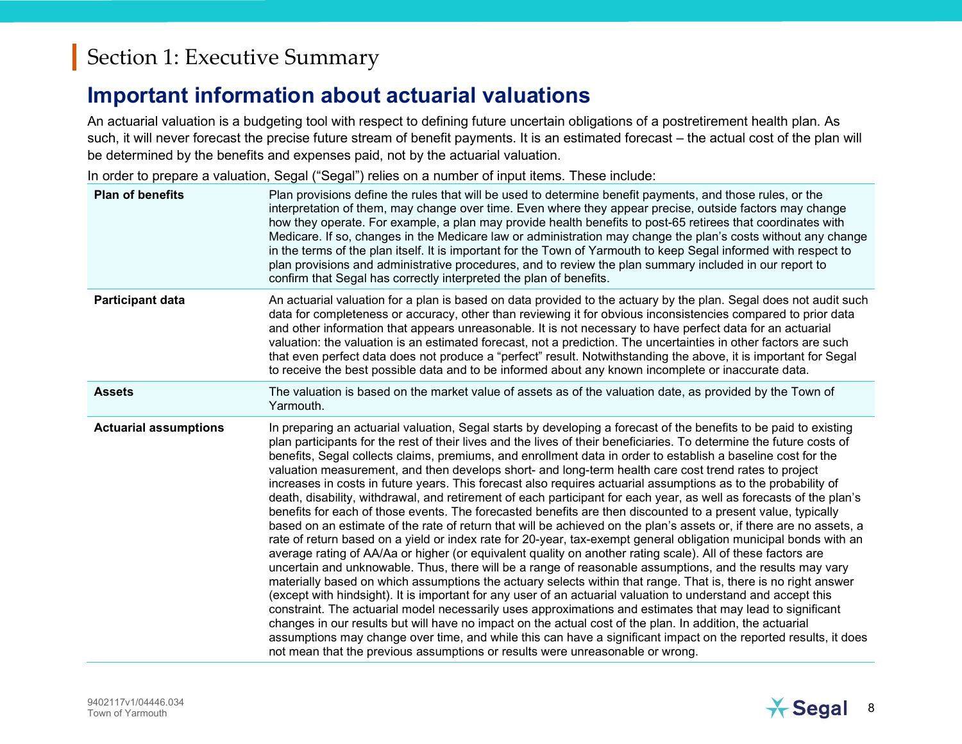#### Important information about actuarial valuations

An actuarial valuation is a budgeting tool with respect to defining future uncertain obligations of a postretirement health plan. As such, it will never forecast the precise future stream of benefit payments. It is an estimated forecast – the actual cost of the plan will be determined by the benefits and expenses paid, not by the actuarial valuation.

In order to prepare a valuation, Segal ("Segal") relies on a number of input items. These include:

| <b>Plan of benefits</b>      | Plan provisions define the rules that will be used to determine benefit payments, and those rules, or the<br>interpretation of them, may change over time. Even where they appear precise, outside factors may change<br>how they operate. For example, a plan may provide health benefits to post-65 retirees that coordinates with<br>Medicare. If so, changes in the Medicare law or administration may change the plan's costs without any change<br>in the terms of the plan itself. It is important for the Town of Yarmouth to keep Segal informed with respect to<br>plan provisions and administrative procedures, and to review the plan summary included in our report to<br>confirm that Segal has correctly interpreted the plan of benefits.                                                                                                                                                                                                                                                                                                                                                                                                                                                                                                                                                                                                                                                                                                                                                                                                                                                                                                                                                                                                                                                                                                                                                                                                           |
|------------------------------|----------------------------------------------------------------------------------------------------------------------------------------------------------------------------------------------------------------------------------------------------------------------------------------------------------------------------------------------------------------------------------------------------------------------------------------------------------------------------------------------------------------------------------------------------------------------------------------------------------------------------------------------------------------------------------------------------------------------------------------------------------------------------------------------------------------------------------------------------------------------------------------------------------------------------------------------------------------------------------------------------------------------------------------------------------------------------------------------------------------------------------------------------------------------------------------------------------------------------------------------------------------------------------------------------------------------------------------------------------------------------------------------------------------------------------------------------------------------------------------------------------------------------------------------------------------------------------------------------------------------------------------------------------------------------------------------------------------------------------------------------------------------------------------------------------------------------------------------------------------------------------------------------------------------------------------------------------------------|
| Participant data             | An actuarial valuation for a plan is based on data provided to the actuary by the plan. Segal does not audit such<br>data for completeness or accuracy, other than reviewing it for obvious inconsistencies compared to prior data<br>and other information that appears unreasonable. It is not necessary to have perfect data for an actuarial<br>valuation: the valuation is an estimated forecast, not a prediction. The uncertainties in other factors are such<br>that even perfect data does not produce a "perfect" result. Notwithstanding the above, it is important for Segal<br>to receive the best possible data and to be informed about any known incomplete or inaccurate data.                                                                                                                                                                                                                                                                                                                                                                                                                                                                                                                                                                                                                                                                                                                                                                                                                                                                                                                                                                                                                                                                                                                                                                                                                                                                      |
| <b>Assets</b>                | The valuation is based on the market value of assets as of the valuation date, as provided by the Town of<br>Yarmouth.                                                                                                                                                                                                                                                                                                                                                                                                                                                                                                                                                                                                                                                                                                                                                                                                                                                                                                                                                                                                                                                                                                                                                                                                                                                                                                                                                                                                                                                                                                                                                                                                                                                                                                                                                                                                                                               |
| <b>Actuarial assumptions</b> | In preparing an actuarial valuation, Segal starts by developing a forecast of the benefits to be paid to existing<br>plan participants for the rest of their lives and the lives of their beneficiaries. To determine the future costs of<br>benefits, Segal collects claims, premiums, and enrollment data in order to establish a baseline cost for the<br>valuation measurement, and then develops short- and long-term health care cost trend rates to project<br>increases in costs in future years. This forecast also requires actuarial assumptions as to the probability of<br>death, disability, withdrawal, and retirement of each participant for each year, as well as forecasts of the plan's<br>benefits for each of those events. The forecasted benefits are then discounted to a present value, typically<br>based on an estimate of the rate of return that will be achieved on the plan's assets or, if there are no assets, a<br>rate of return based on a yield or index rate for 20-year, tax-exempt general obligation municipal bonds with an<br>average rating of AA/Aa or higher (or equivalent quality on another rating scale). All of these factors are<br>uncertain and unknowable. Thus, there will be a range of reasonable assumptions, and the results may vary<br>materially based on which assumptions the actuary selects within that range. That is, there is no right answer<br>(except with hindsight). It is important for any user of an actuarial valuation to understand and accept this<br>constraint. The actuarial model necessarily uses approximations and estimates that may lead to significant<br>changes in our results but will have no impact on the actual cost of the plan. In addition, the actuarial<br>assumptions may change over time, and while this can have a significant impact on the reported results, it does<br>not mean that the previous assumptions or results were unreasonable or wrong. |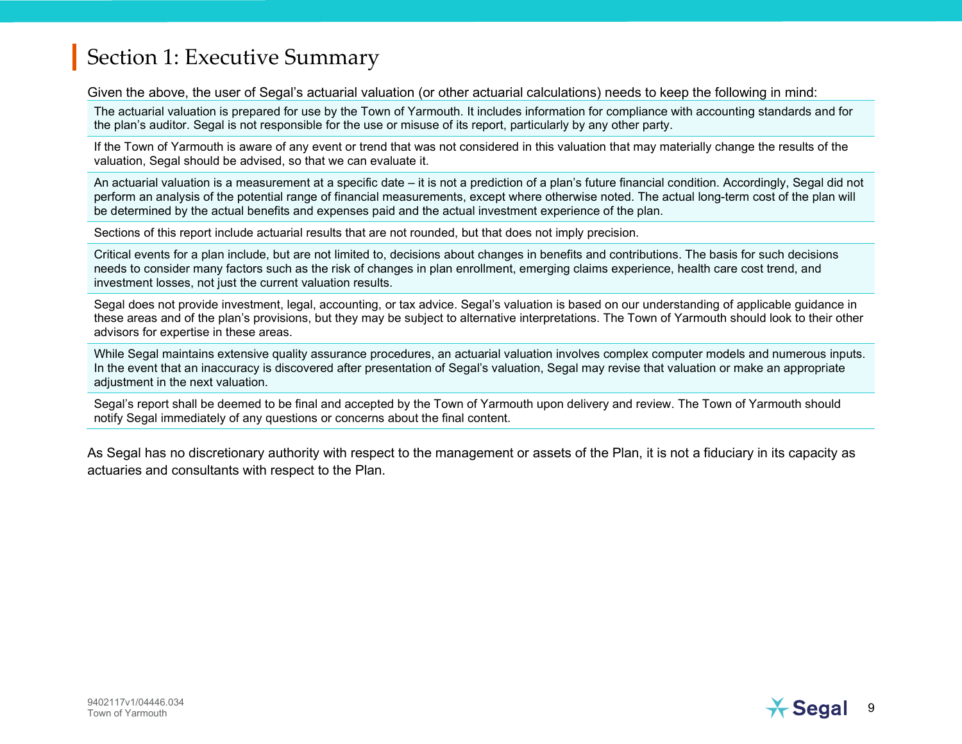Given the above, the user of Segal's actuarial valuation (or other actuarial calculations) needs to keep the following in mind:

The actuarial valuation is prepared for use by the Town of Yarmouth. It includes information for compliance with accounting standards and for the plan's auditor. Segal is not responsible for the use or misuse of its report, particularly by any other party.

If the Town of Yarmouth is aware of any event or trend that was not considered in this valuation that may materially change the results of the valuation, Segal should be advised, so that we can evaluate it.

An actuarial valuation is a measurement at a specific date – it is not a prediction of a plan's future financial condition. Accordingly, Segal did not perform an analysis of the potential range of financial measurements, except where otherwise noted. The actual long-term cost of the plan will be determined by the actual benefits and expenses paid and the actual investment experience of the plan.

Sections of this report include actuarial results that are not rounded, but that does not imply precision.

Critical events for a plan include, but are not limited to, decisions about changes in benefits and contributions. The basis for such decisions needs to consider many factors such as the risk of changes in plan enrollment, emerging claims experience, health care cost trend, and investment losses, not just the current valuation results.

Segal does not provide investment, legal, accounting, or tax advice. Segal's valuation is based on our understanding of applicable guidance in these areas and of the plan's provisions, but they may be subject to alternative interpretations. The Town of Yarmouth should look to their other advisors for expertise in these areas.

While Segal maintains extensive quality assurance procedures, an actuarial valuation involves complex computer models and numerous inputs. In the event that an inaccuracy is discovered after presentation of Segal's valuation, Segal may revise that valuation or make an appropriate adiustment in the next valuation.

Segal's report shall be deemed to be final and accepted by the Town of Yarmouth upon delivery and review. The Town of Yarmouth should notify Segal immediately of any questions or concerns about the final content.

As Segal has no discretionary authority with respect to the management or assets of the Plan, it is not a fiduciary in its capacity as actuaries and consultants with respect to the Plan.

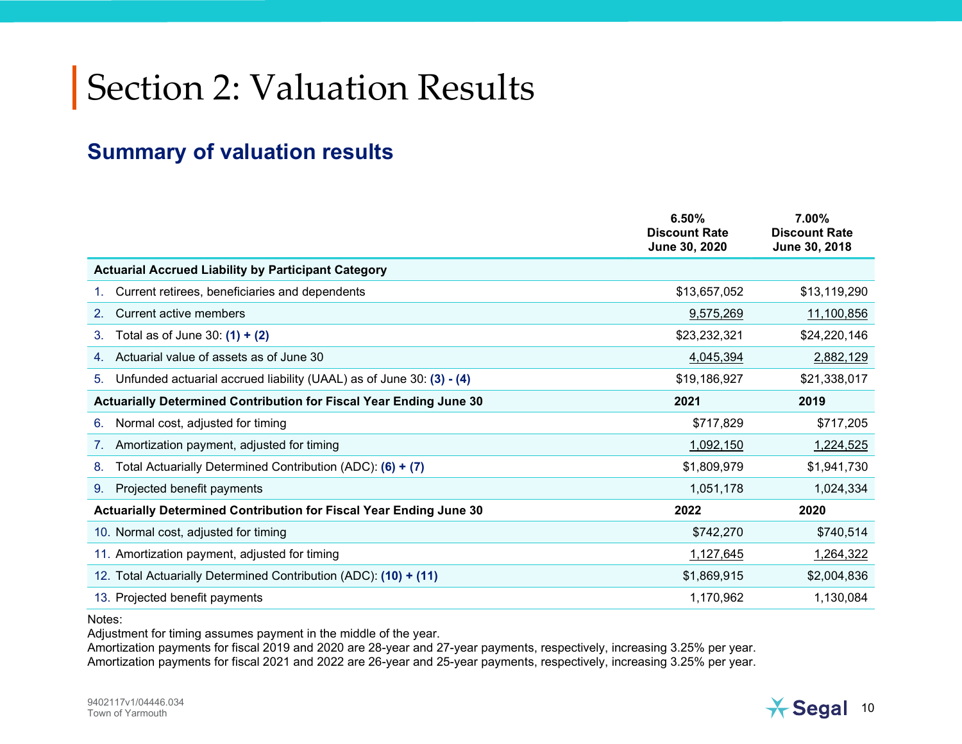# Section 2: Valuation Results

#### Summary of valuation results

|                                                                            | 6.50%<br><b>Discount Rate</b><br>June 30, 2020 | 7.00%<br><b>Discount Rate</b><br>June 30, 2018 |
|----------------------------------------------------------------------------|------------------------------------------------|------------------------------------------------|
| <b>Actuarial Accrued Liability by Participant Category</b>                 |                                                |                                                |
| Current retirees, beneficiaries and dependents                             | \$13,657,052                                   | \$13,119,290                                   |
| Current active members<br>2.                                               | 9,575,269                                      | 11,100,856                                     |
| Total as of June 30: $(1) + (2)$<br>3.                                     | \$23,232,321                                   | \$24,220,146                                   |
| Actuarial value of assets as of June 30                                    | 4,045,394                                      | 2,882,129                                      |
| Unfunded actuarial accrued liability (UAAL) as of June 30: (3) - (4)<br>5. | \$19,186,927                                   | \$21,338,017                                   |
| Actuarially Determined Contribution for Fiscal Year Ending June 30         | 2021                                           | 2019                                           |
| Normal cost, adjusted for timing<br>6.                                     | \$717,829                                      | \$717,205                                      |
| Amortization payment, adjusted for timing                                  | 1,092,150                                      | 1,224,525                                      |
| Total Actuarially Determined Contribution (ADC): $(6) + (7)$<br>8.         | \$1,809,979                                    | \$1,941,730                                    |
| Projected benefit payments<br>9.                                           | 1,051,178                                      | 1,024,334                                      |
| Actuarially Determined Contribution for Fiscal Year Ending June 30         | 2022                                           | 2020                                           |
| 10. Normal cost, adjusted for timing                                       | \$742,270                                      | \$740,514                                      |
| 11. Amortization payment, adjusted for timing                              | 1,127,645                                      | 1,264,322                                      |
| 12. Total Actuarially Determined Contribution (ADC): (10) + (11)           | \$1,869,915                                    | \$2,004,836                                    |
| 13. Projected benefit payments                                             | 1,170,962                                      | 1,130,084                                      |

Notes:

Adjustment for timing assumes payment in the middle of the year.

Amortization payments for fiscal 2019 and 2020 are 28-year and 27-year payments, respectively, increasing 3.25% per year. Amortization payments for fiscal 2021 and 2022 are 26-year and 25-year payments, respectively, increasing 3.25% per year.

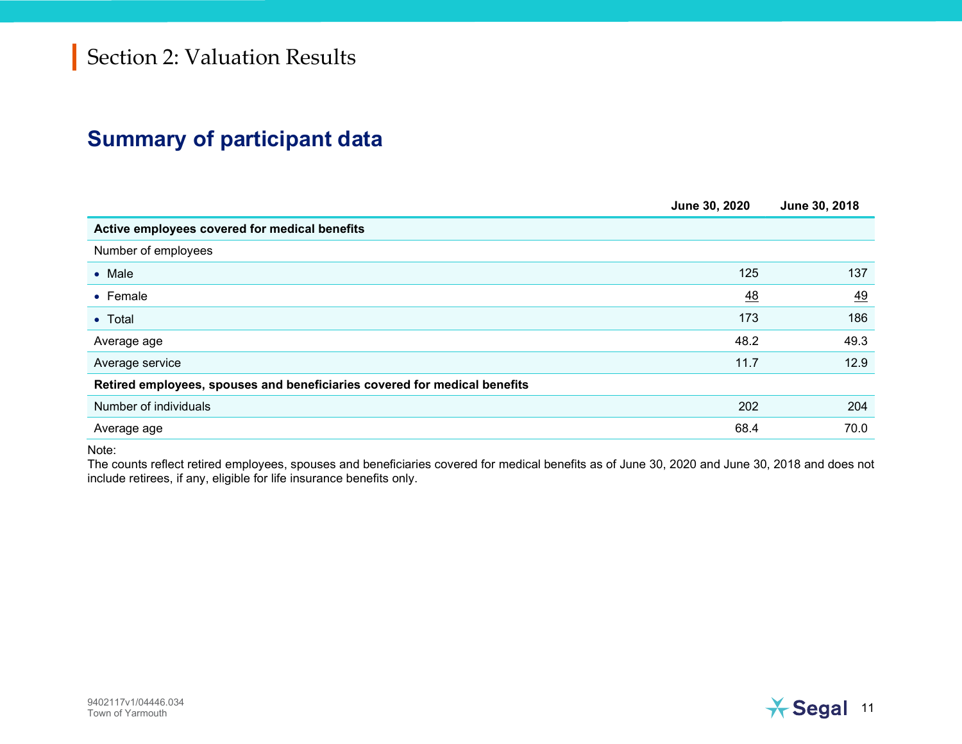#### Summary of participant data

|                                                                           | June 30, 2020 | June 30, 2018 |
|---------------------------------------------------------------------------|---------------|---------------|
| Active employees covered for medical benefits                             |               |               |
| Number of employees                                                       |               |               |
| $\bullet$ Male                                                            | 125           | 137           |
| • Female                                                                  | 48            | 49            |
| • Total                                                                   | 173           | 186           |
| Average age                                                               | 48.2          | 49.3          |
| Average service                                                           | 11.7          | 12.9          |
| Retired employees, spouses and beneficiaries covered for medical benefits |               |               |
| Number of individuals                                                     | 202           | 204           |
| Average age                                                               | 68.4          | 70.0          |

Note:

The counts reflect retired employees, spouses and beneficiaries covered for medical benefits as of June 30, 2020 and June 30, 2018 and does not include retirees, if any, eligible for life insurance benefits only.

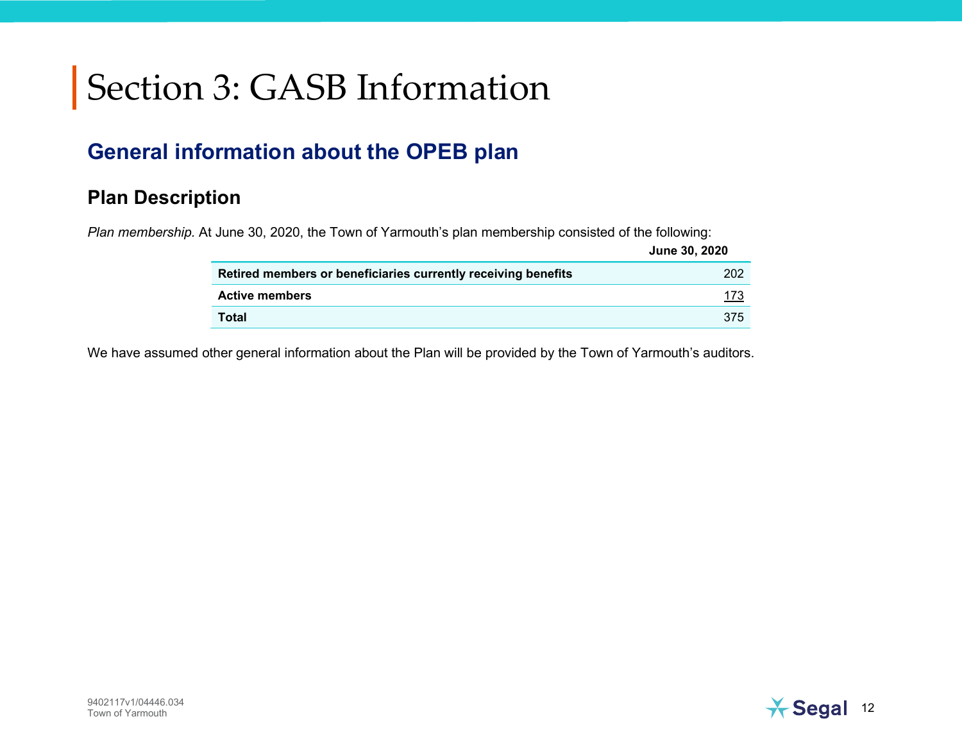#### General information about the OPEB plan

#### Plan Description

Plan membership. At June 30, 2020, the Town of Yarmouth's plan membership consisted of the following:

|                                                               | <b>June 30, 2020</b> |
|---------------------------------------------------------------|----------------------|
| Retired members or beneficiaries currently receiving benefits | 202                  |
| <b>Active members</b>                                         | 173                  |
| <b>Total</b>                                                  | 375                  |

We have assumed other general information about the Plan will be provided by the Town of Yarmouth's auditors.

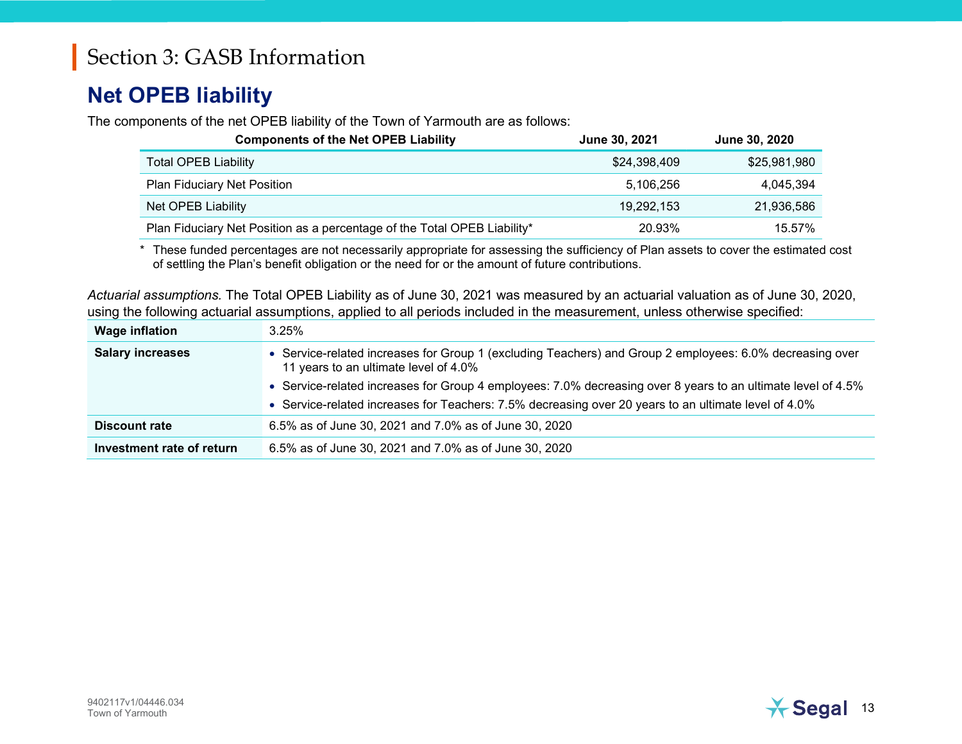#### Net OPEB liability

The components of the net OPEB liability of the Town of Yarmouth are as follows:

| <b>Components of the Net OPEB Liability</b>                              | June 30, 2021 | June 30, 2020 |
|--------------------------------------------------------------------------|---------------|---------------|
| <b>Total OPEB Liability</b>                                              | \$24,398,409  | \$25,981,980  |
| <b>Plan Fiduciary Net Position</b>                                       | 5,106,256     | 4,045,394     |
| Net OPEB Liability                                                       | 19,292,153    | 21,936,586    |
| Plan Fiduciary Net Position as a percentage of the Total OPEB Liability* | 20.93%        | 15.57%        |

\* These funded percentages are not necessarily appropriate for assessing the sufficiency of Plan assets to cover the estimated cost of settling the Plan's benefit obligation or the need for or the amount of future contributions.

Actuarial assumptions. The Total OPEB Liability as of June 30, 2021 was measured by an actuarial valuation as of June 30, 2020, using the following actuarial assumptions, applied to all periods included in the measurement, unless otherwise specified:

| <b>Wage inflation</b>     | 3.25%                                                                                                                                             |
|---------------------------|---------------------------------------------------------------------------------------------------------------------------------------------------|
| <b>Salary increases</b>   | • Service-related increases for Group 1 (excluding Teachers) and Group 2 employees: 6.0% decreasing over<br>11 years to an ultimate level of 4.0% |
|                           | • Service-related increases for Group 4 employees: 7.0% decreasing over 8 years to an ultimate level of 4.5%                                      |
|                           | • Service-related increases for Teachers: 7.5% decreasing over 20 years to an ultimate level of 4.0%                                              |
| <b>Discount rate</b>      | 6.5% as of June 30, 2021 and 7.0% as of June 30, 2020                                                                                             |
| Investment rate of return | 6.5% as of June 30, 2021 and 7.0% as of June 30, 2020                                                                                             |

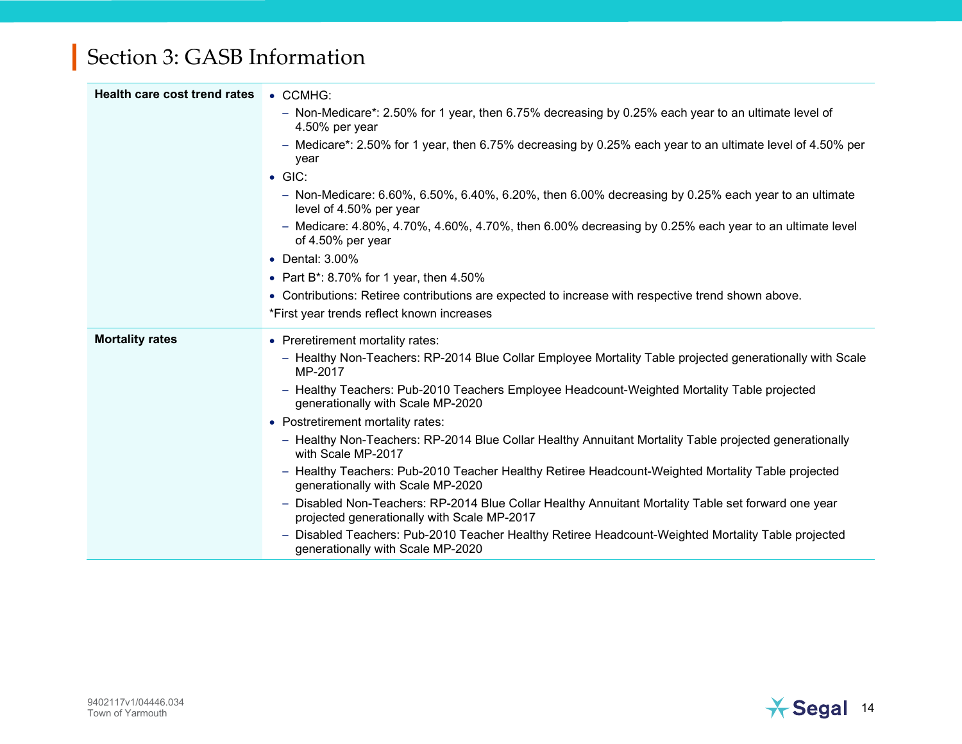| <b>Health care cost trend rates</b> | $\bullet$ CCMHG:                                                                                                                                   |
|-------------------------------------|----------------------------------------------------------------------------------------------------------------------------------------------------|
|                                     | - Non-Medicare*: 2.50% for 1 year, then 6.75% decreasing by 0.25% each year to an ultimate level of<br>4.50% per year                              |
|                                     | - Medicare*: 2.50% for 1 year, then 6.75% decreasing by 0.25% each year to an ultimate level of 4.50% per<br>year                                  |
|                                     | $\bullet$ GIC:                                                                                                                                     |
|                                     | - Non-Medicare: $6.60\%$ , $6.50\%$ , $6.40\%$ , $6.20\%$ , then $6.00\%$ decreasing by 0.25% each year to an ultimate<br>level of 4.50% per year  |
|                                     | - Medicare: $4.80\%$ , $4.70\%$ , $4.60\%$ , $4.70\%$ , then 6.00% decreasing by 0.25% each year to an ultimate level<br>of 4.50% per year         |
|                                     | • Dental: 3.00%                                                                                                                                    |
|                                     | • Part B <sup>*</sup> : 8.70% for 1 year, then $4.50\%$                                                                                            |
|                                     | • Contributions: Retiree contributions are expected to increase with respective trend shown above.                                                 |
|                                     | *First year trends reflect known increases                                                                                                         |
| <b>Mortality rates</b>              | • Preretirement mortality rates:                                                                                                                   |
|                                     | - Healthy Non-Teachers: RP-2014 Blue Collar Employee Mortality Table projected generationally with Scale<br>MP-2017                                |
|                                     | - Healthy Teachers: Pub-2010 Teachers Employee Headcount-Weighted Mortality Table projected<br>generationally with Scale MP-2020                   |
|                                     | • Postretirement mortality rates:                                                                                                                  |
|                                     | - Healthy Non-Teachers: RP-2014 Blue Collar Healthy Annuitant Mortality Table projected generationally<br>with Scale MP-2017                       |
|                                     | - Healthy Teachers: Pub-2010 Teacher Healthy Retiree Headcount-Weighted Mortality Table projected<br>generationally with Scale MP-2020             |
|                                     | - Disabled Non-Teachers: RP-2014 Blue Collar Healthy Annuitant Mortality Table set forward one year<br>projected generationally with Scale MP-2017 |
|                                     | - Disabled Teachers: Pub-2010 Teacher Healthy Retiree Headcount-Weighted Mortality Table projected<br>generationally with Scale MP-2020            |

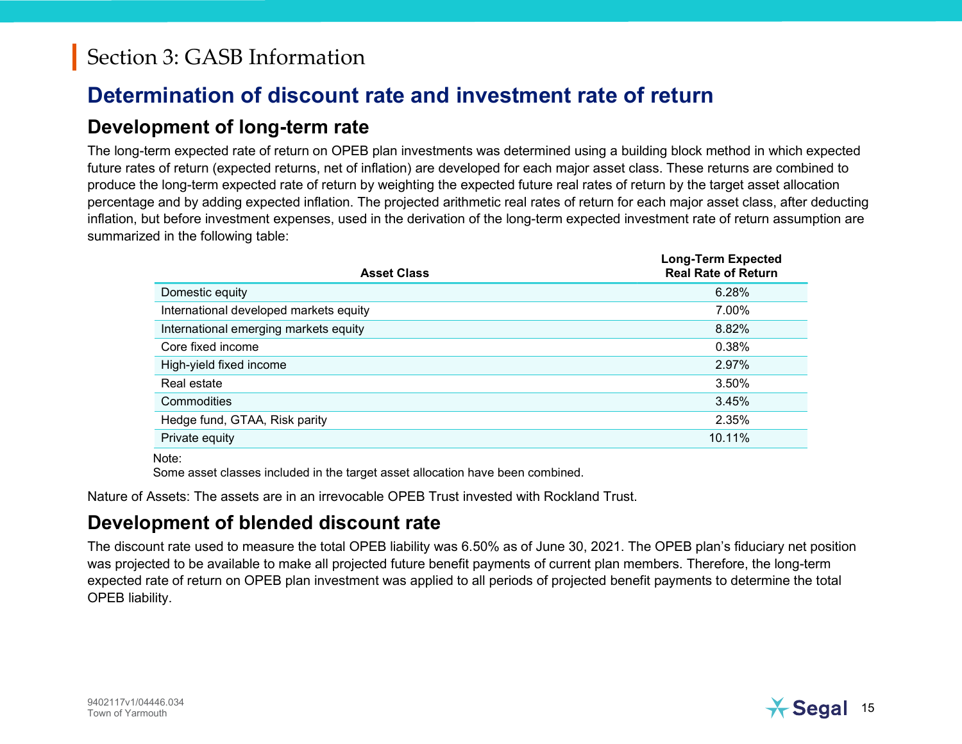#### Determination of discount rate and investment rate of return

#### Development of long-term rate

The long-term expected rate of return on OPEB plan investments was determined using a building block method in which expected future rates of return (expected returns, net of inflation) are developed for each major asset class. These returns are combined to produce the long-term expected rate of return by weighting the expected future real rates of return by the target asset allocation percentage and by adding expected inflation. The projected arithmetic real rates of return for each major asset class, after deducting inflation, but before investment expenses, used in the derivation of the long-term expected investment rate of return assumption are summarized in the following table:

| <b>Asset Class</b>                     | Long-Term Expected<br><b>Real Rate of Return</b> |
|----------------------------------------|--------------------------------------------------|
| Domestic equity                        | 6.28%                                            |
| International developed markets equity | 7.00%                                            |
| International emerging markets equity  | 8.82%                                            |
| Core fixed income                      | 0.38%                                            |
| High-yield fixed income                | 2.97%                                            |
| Real estate                            | 3.50%                                            |
| Commodities                            | 3.45%                                            |
| Hedge fund, GTAA, Risk parity          | 2.35%                                            |
| Private equity                         | 10.11%                                           |
|                                        |                                                  |

Note:

Some asset classes included in the target asset allocation have been combined.

Nature of Assets: The assets are in an irrevocable OPEB Trust invested with Rockland Trust.

#### Development of blended discount rate

The discount rate used to measure the total OPEB liability was 6.50% as of June 30, 2021. The OPEB plan's fiduciary net position was projected to be available to make all projected future benefit payments of current plan members. Therefore, the long-term expected rate of return on OPEB plan investment was applied to all periods of projected benefit payments to determine the total OPEB liability.

Long-Term Expected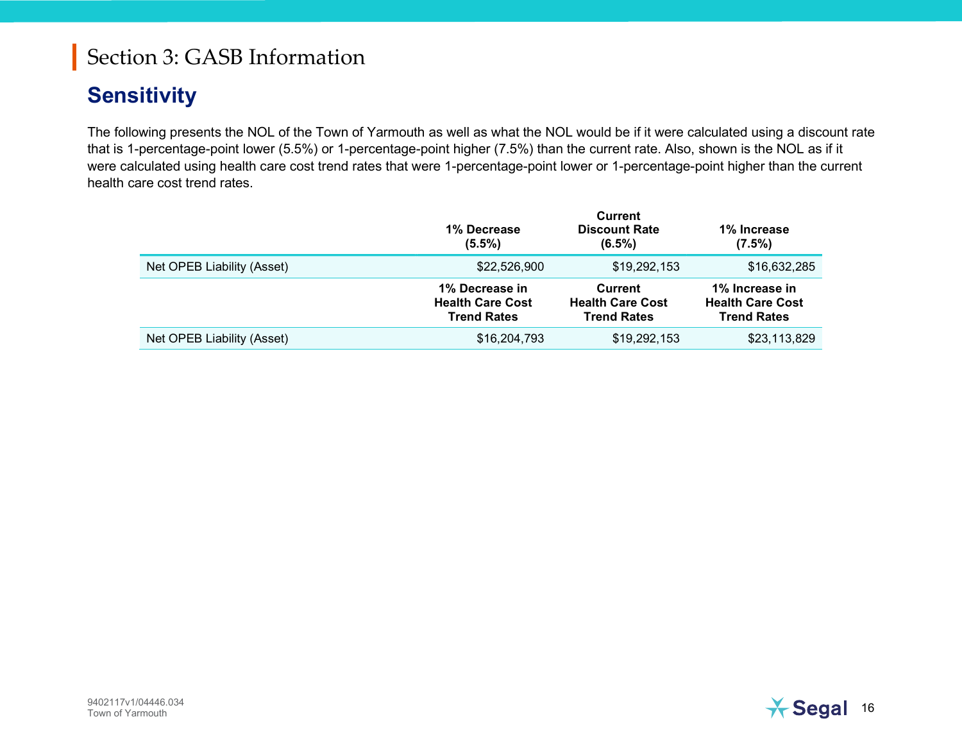#### **Sensitivity**

The following presents the NOL of the Town of Yarmouth as well as what the NOL would be if it were calculated using a discount rate that is 1-percentage-point lower (5.5%) or 1-percentage-point higher (7.5%) than the current rate. Also, shown is the NOL as if it were calculated using health care cost trend rates that were 1-percentage-point lower or 1-percentage-point higher than the current health care cost trend rates.

|                            | 1% Decrease<br>$(5.5\%)$                                        | <b>Current</b><br><b>Discount Rate</b><br>$(6.5\%)$             | 1% Increase<br>$(7.5\%)$                                        |
|----------------------------|-----------------------------------------------------------------|-----------------------------------------------------------------|-----------------------------------------------------------------|
| Net OPEB Liability (Asset) | \$22,526,900                                                    | \$19,292,153                                                    | \$16,632,285                                                    |
|                            | 1% Decrease in<br><b>Health Care Cost</b><br><b>Trend Rates</b> | <b>Current</b><br><b>Health Care Cost</b><br><b>Trend Rates</b> | 1% Increase in<br><b>Health Care Cost</b><br><b>Trend Rates</b> |
| Net OPEB Liability (Asset) | \$16,204,793                                                    | \$19,292,153                                                    | \$23,113,829                                                    |

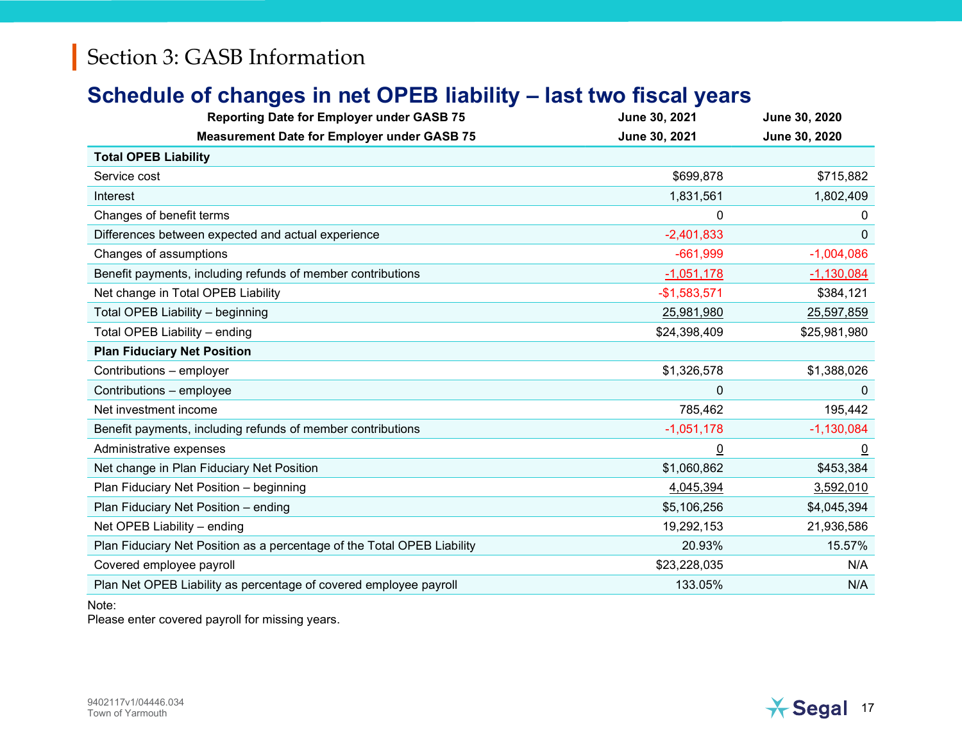#### Schedule of changes in net OPEB liability – last two fiscal years

| <b>Reporting Date for Employer under GASB 75</b>                        | June 30, 2021  | June 30, 2020  |
|-------------------------------------------------------------------------|----------------|----------------|
| <b>Measurement Date for Employer under GASB 75</b>                      | June 30, 2021  | June 30, 2020  |
| <b>Total OPEB Liability</b>                                             |                |                |
| Service cost                                                            | \$699,878      | \$715,882      |
| Interest                                                                | 1,831,561      | 1,802,409      |
| Changes of benefit terms                                                | $\mathbf{0}$   | 0              |
| Differences between expected and actual experience                      | $-2,401,833$   | 0              |
| Changes of assumptions                                                  | $-661,999$     | $-1,004,086$   |
| Benefit payments, including refunds of member contributions             | $-1,051,178$   | $-1,130,084$   |
| Net change in Total OPEB Liability                                      | $-$1,583,571$  | \$384,121      |
| Total OPEB Liability - beginning                                        | 25,981,980     | 25,597,859     |
| Total OPEB Liability - ending                                           | \$24,398,409   | \$25,981,980   |
| <b>Plan Fiduciary Net Position</b>                                      |                |                |
| Contributions - employer                                                | \$1,326,578    | \$1,388,026    |
| Contributions - employee                                                | 0              | $\Omega$       |
| Net investment income                                                   | 785,462        | 195,442        |
| Benefit payments, including refunds of member contributions             | $-1,051,178$   | $-1,130,084$   |
| Administrative expenses                                                 | $\overline{0}$ | $\overline{0}$ |
| Net change in Plan Fiduciary Net Position                               | \$1,060,862    | \$453,384      |
| Plan Fiduciary Net Position - beginning                                 | 4,045,394      | 3,592,010      |
| Plan Fiduciary Net Position - ending                                    | \$5,106,256    | \$4,045,394    |
| Net OPEB Liability - ending                                             | 19,292,153     | 21,936,586     |
| Plan Fiduciary Net Position as a percentage of the Total OPEB Liability | 20.93%         | 15.57%         |
| Covered employee payroll                                                | \$23,228,035   | N/A            |
| Plan Net OPEB Liability as percentage of covered employee payroll       | 133.05%        | N/A            |

#### Note:

Please enter covered payroll for missing years.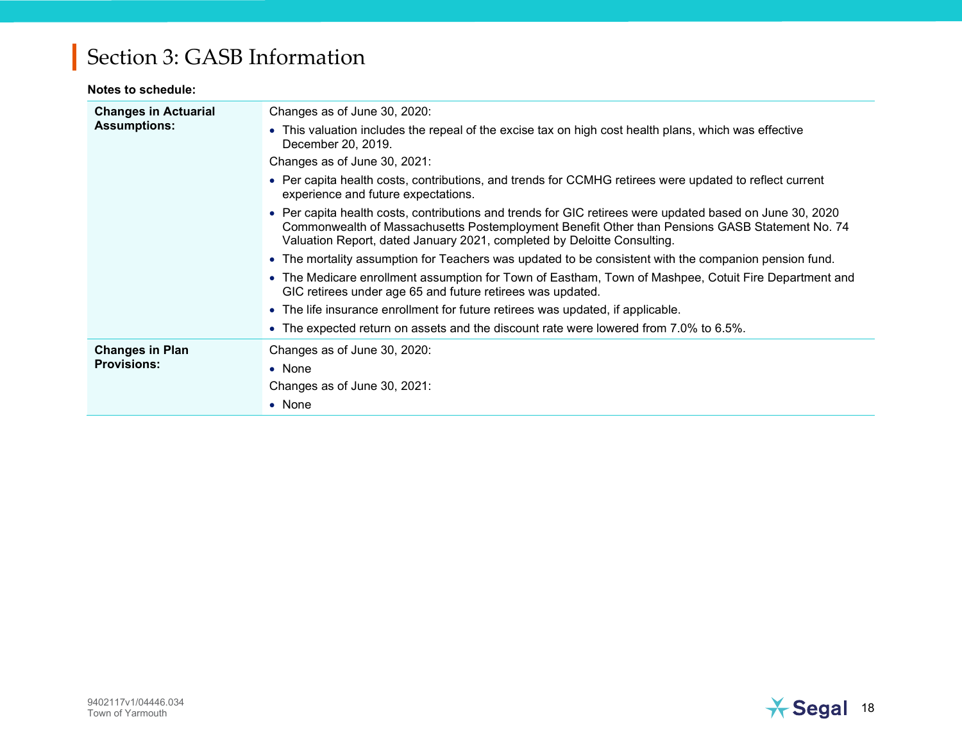#### Notes to schedule:

| <b>Changes in Actuarial</b><br><b>Assumptions:</b> | Changes as of June 30, 2020:                                                                                                                                                                                                                                                          |
|----------------------------------------------------|---------------------------------------------------------------------------------------------------------------------------------------------------------------------------------------------------------------------------------------------------------------------------------------|
|                                                    | • This valuation includes the repeal of the excise tax on high cost health plans, which was effective<br>December 20, 2019.                                                                                                                                                           |
|                                                    | Changes as of June 30, 2021:                                                                                                                                                                                                                                                          |
|                                                    | • Per capita health costs, contributions, and trends for CCMHG retirees were updated to reflect current<br>experience and future expectations.                                                                                                                                        |
|                                                    | • Per capita health costs, contributions and trends for GIC retirees were updated based on June 30, 2020<br>Commonwealth of Massachusetts Postemployment Benefit Other than Pensions GASB Statement No. 74<br>Valuation Report, dated January 2021, completed by Deloitte Consulting. |
|                                                    | • The mortality assumption for Teachers was updated to be consistent with the companion pension fund.                                                                                                                                                                                 |
|                                                    | • The Medicare enrollment assumption for Town of Eastham, Town of Mashpee, Cotuit Fire Department and<br>GIC retirees under age 65 and future retirees was updated.                                                                                                                   |
|                                                    | • The life insurance enrollment for future retirees was updated, if applicable.                                                                                                                                                                                                       |
|                                                    | • The expected return on assets and the discount rate were lowered from 7.0% to 6.5%.                                                                                                                                                                                                 |
| <b>Changes in Plan</b>                             | Changes as of June 30, 2020:                                                                                                                                                                                                                                                          |
| <b>Provisions:</b>                                 | $\bullet$ None                                                                                                                                                                                                                                                                        |
|                                                    | Changes as of June 30, 2021:                                                                                                                                                                                                                                                          |
|                                                    | $\bullet$ None                                                                                                                                                                                                                                                                        |

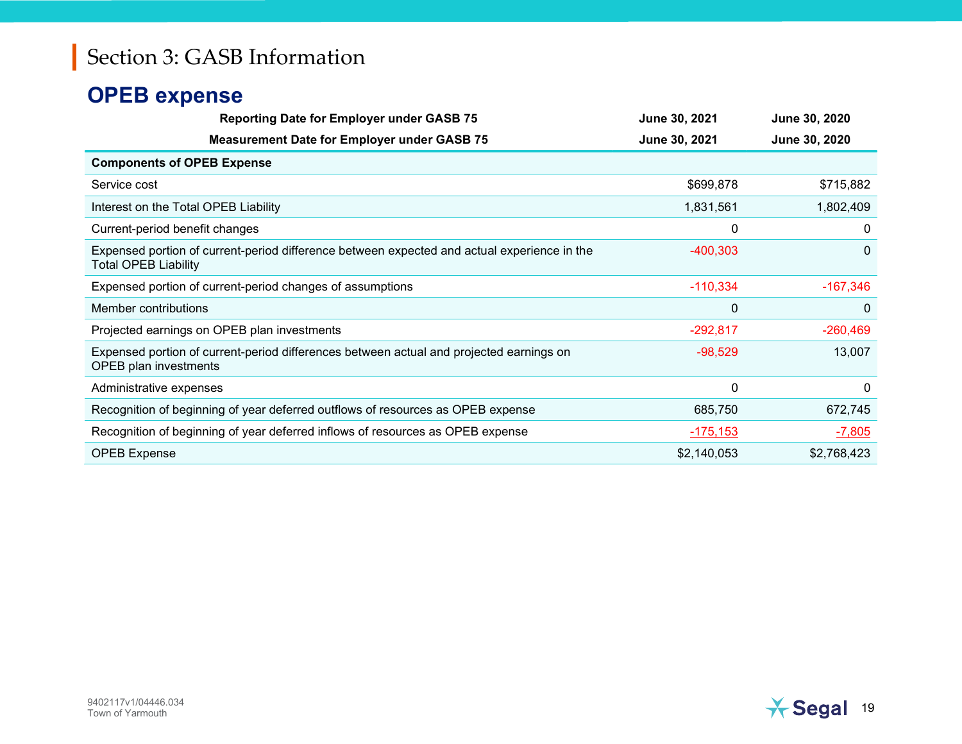#### OPEB expense

| <b>Reporting Date for Employer under GASB 75</b>                                                                           | June 30, 2021 | June 30, 2020 |
|----------------------------------------------------------------------------------------------------------------------------|---------------|---------------|
| <b>Measurement Date for Employer under GASB 75</b>                                                                         | June 30, 2021 | June 30, 2020 |
| <b>Components of OPEB Expense</b>                                                                                          |               |               |
| Service cost                                                                                                               | \$699,878     | \$715,882     |
| Interest on the Total OPEB Liability                                                                                       | 1,831,561     | 1,802,409     |
| Current-period benefit changes                                                                                             | 0             | 0             |
| Expensed portion of current-period difference between expected and actual experience in the<br><b>Total OPEB Liability</b> | $-400,303$    | $\Omega$      |
| Expensed portion of current-period changes of assumptions                                                                  | $-110,334$    | $-167,346$    |
| Member contributions                                                                                                       | $\mathbf 0$   | $\mathbf{0}$  |
| Projected earnings on OPEB plan investments                                                                                | $-292,817$    | $-260,469$    |
| Expensed portion of current-period differences between actual and projected earnings on<br><b>OPEB</b> plan investments    | $-98,529$     | 13,007        |
| Administrative expenses                                                                                                    | 0             | 0             |
| Recognition of beginning of year deferred outflows of resources as OPEB expense                                            | 685,750       | 672,745       |
| Recognition of beginning of year deferred inflows of resources as OPEB expense                                             | $-175,153$    | $-7,805$      |
| <b>OPEB Expense</b>                                                                                                        | \$2,140,053   | \$2,768,423   |

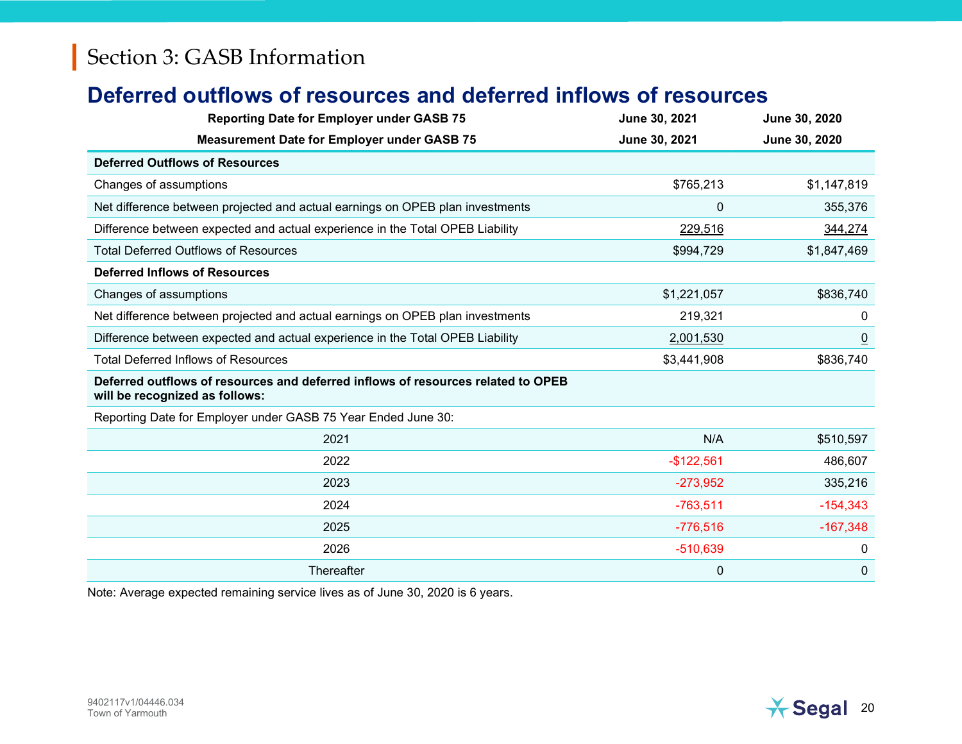#### Deferred outflows of resources and deferred inflows of resources

| <b>Reporting Date for Employer under GASB 75</b>                                                                   | June 30, 2021 | June 30, 2020  |
|--------------------------------------------------------------------------------------------------------------------|---------------|----------------|
| <b>Measurement Date for Employer under GASB 75</b>                                                                 | June 30, 2021 | June 30, 2020  |
| <b>Deferred Outflows of Resources</b>                                                                              |               |                |
| Changes of assumptions                                                                                             | \$765,213     | \$1,147,819    |
| Net difference between projected and actual earnings on OPEB plan investments                                      | $\mathbf{0}$  | 355,376        |
| Difference between expected and actual experience in the Total OPEB Liability                                      | 229,516       | 344,274        |
| <b>Total Deferred Outflows of Resources</b>                                                                        | \$994,729     | \$1,847,469    |
| <b>Deferred Inflows of Resources</b>                                                                               |               |                |
| Changes of assumptions                                                                                             | \$1,221,057   | \$836,740      |
| Net difference between projected and actual earnings on OPEB plan investments                                      | 219,321       | $\mathbf{0}$   |
| Difference between expected and actual experience in the Total OPEB Liability                                      | 2,001,530     | $\overline{0}$ |
| <b>Total Deferred Inflows of Resources</b>                                                                         | \$3,441,908   | \$836,740      |
| Deferred outflows of resources and deferred inflows of resources related to OPEB<br>will be recognized as follows: |               |                |
| Reporting Date for Employer under GASB 75 Year Ended June 30:                                                      |               |                |
| 2021                                                                                                               | N/A           | \$510,597      |
| 2022                                                                                                               | $-$122,561$   | 486,607        |
| 2023                                                                                                               | $-273,952$    | 335,216        |
| 2024                                                                                                               | $-763,511$    | $-154,343$     |
| 2025                                                                                                               | $-776,516$    | $-167,348$     |
| 2026                                                                                                               | $-510,639$    | 0              |
| Thereafter                                                                                                         | 0             | $\mathbf 0$    |

Note: Average expected remaining service lives as of June 30, 2020 is 6 years.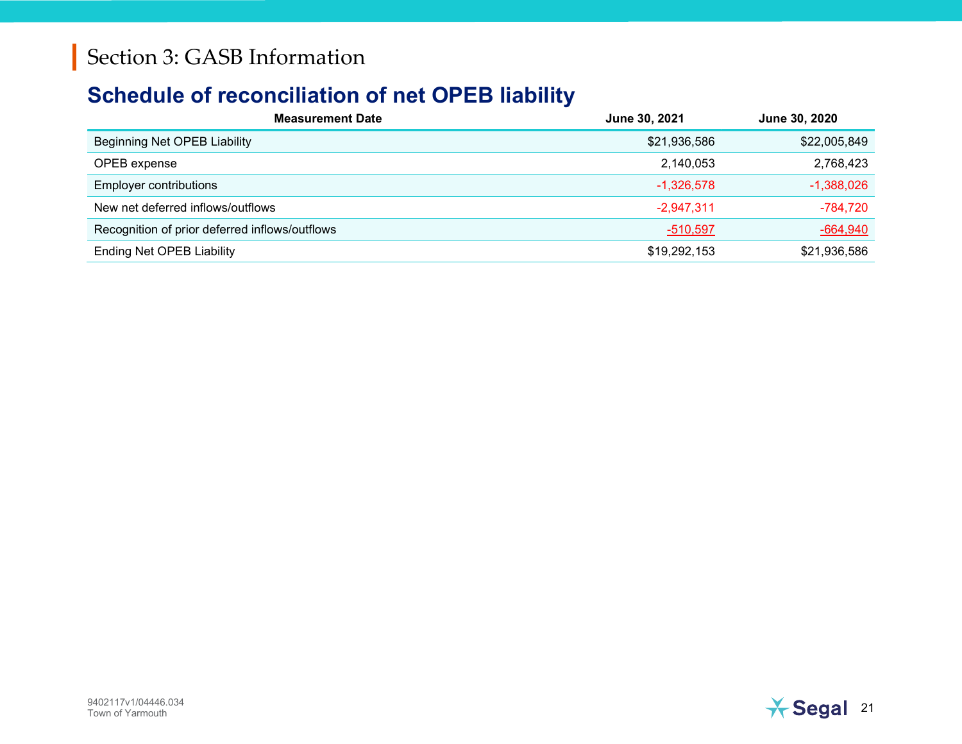#### Schedule of reconciliation of net OPEB liability

| <b>Measurement Date</b>                        | June 30, 2021   | June 30, 2020   |
|------------------------------------------------|-----------------|-----------------|
| Beginning Net OPEB Liability                   | \$21,936,586    | \$22,005,849    |
| OPEB expense                                   | 2,140,053       | 2,768,423       |
| <b>Employer contributions</b>                  | $-1,326,578$    | $-1,388,026$    |
| New net deferred inflows/outflows              | $-2,947,311$    | $-784,720$      |
| Recognition of prior deferred inflows/outflows | <u>-510,597</u> | <u>-664,940</u> |
| <b>Ending Net OPEB Liability</b>               | \$19,292,153    | \$21,936,586    |

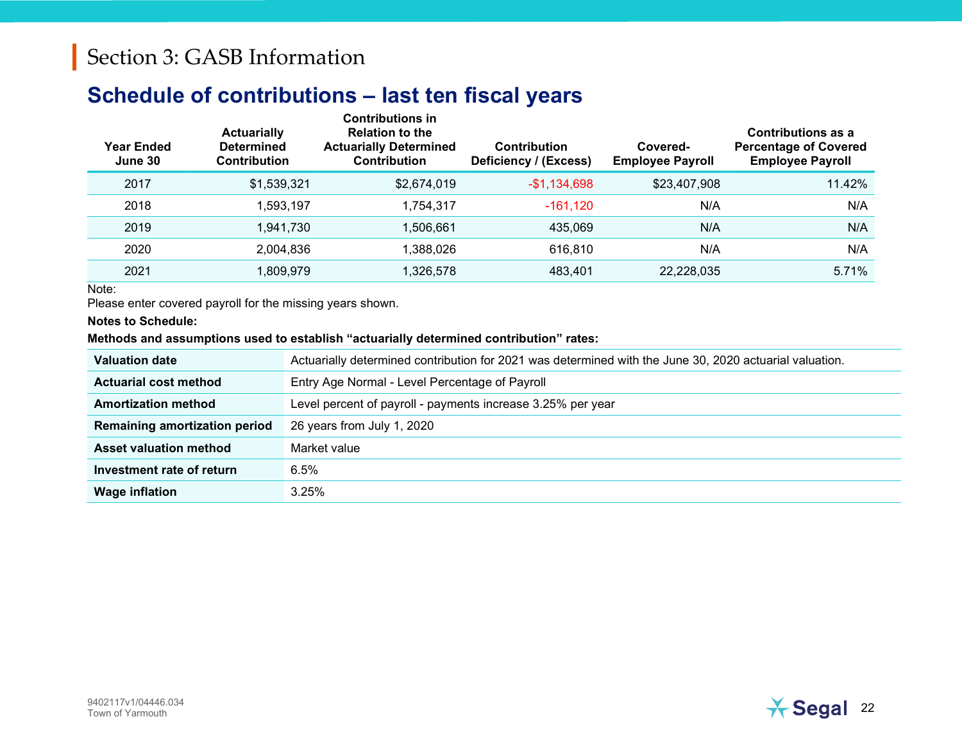#### Schedule of contributions – last ten fiscal years

| <b>Year Ended</b><br>June 30 | <b>Actuarially</b><br><b>Determined</b><br>Contribution | <b>Contributions in</b><br><b>Relation to the</b><br><b>Actuarially Determined</b><br><b>Contribution</b> | <b>Contribution</b><br>Deficiency / (Excess) | Covered-<br><b>Employee Payroll</b> | <b>Contributions as a</b><br><b>Percentage of Covered</b><br><b>Employee Payroll</b> |
|------------------------------|---------------------------------------------------------|-----------------------------------------------------------------------------------------------------------|----------------------------------------------|-------------------------------------|--------------------------------------------------------------------------------------|
| 2017                         | \$1,539,321                                             | \$2,674,019                                                                                               | $-$1,134,698$                                | \$23,407,908                        | 11.42%                                                                               |
| 2018                         | 1,593,197                                               | 1,754,317                                                                                                 | $-161, 120$                                  | N/A                                 | N/A                                                                                  |
| 2019                         | 1.941.730                                               | 1,506,661                                                                                                 | 435.069                                      | N/A                                 | N/A                                                                                  |
| 2020                         | 2,004,836                                               | 1,388,026                                                                                                 | 616,810                                      | N/A                                 | N/A                                                                                  |
| 2021                         | 1,809,979                                               | 1,326,578                                                                                                 | 483,401                                      | 22,228,035                          | 5.71%                                                                                |

Note:

Please enter covered payroll for the missing years shown.

Notes to Schedule:

#### Methods and assumptions used to establish "actuarially determined contribution" rates:

| <b>Valuation date</b>         | Actuarially determined contribution for 2021 was determined with the June 30, 2020 actuarial valuation. |
|-------------------------------|---------------------------------------------------------------------------------------------------------|
| <b>Actuarial cost method</b>  | Entry Age Normal - Level Percentage of Payroll                                                          |
| <b>Amortization method</b>    | Level percent of payroll - payments increase 3.25% per year                                             |
| Remaining amortization period | 26 years from July 1, 2020                                                                              |
| Asset valuation method        | Market value                                                                                            |
| Investment rate of return     | 6.5%                                                                                                    |
| <b>Wage inflation</b>         | 3.25%                                                                                                   |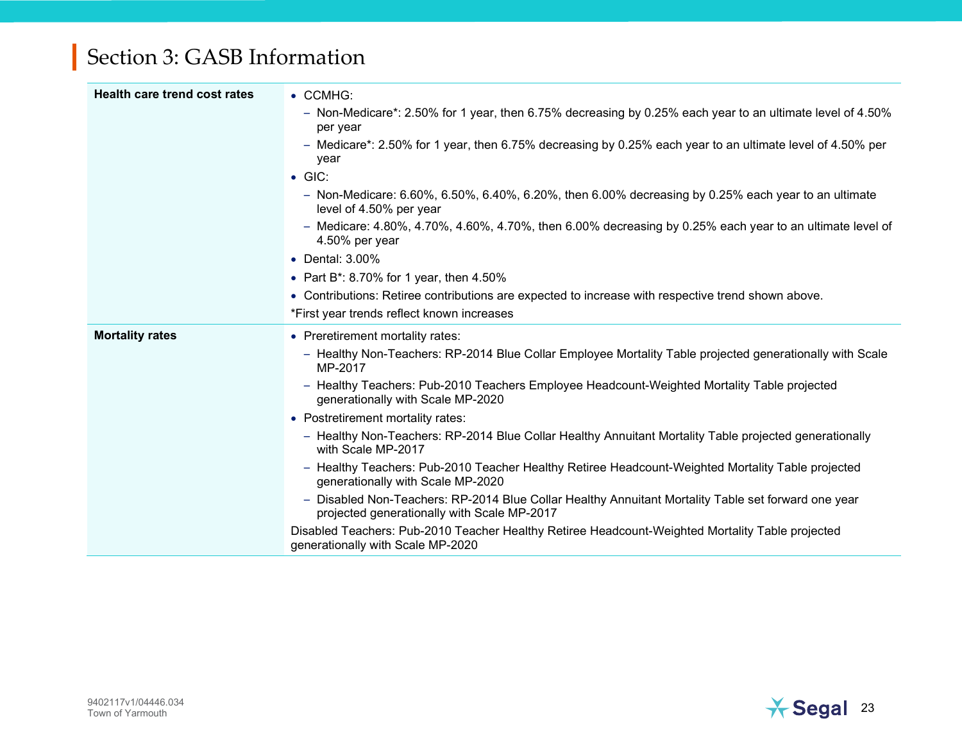| Health care trend cost rates | • CCMHG:                                                                                                                                           |  |  |  |  |  |
|------------------------------|----------------------------------------------------------------------------------------------------------------------------------------------------|--|--|--|--|--|
|                              | - Non-Medicare*: 2.50% for 1 year, then 6.75% decreasing by 0.25% each year to an ultimate level of 4.50%<br>per year                              |  |  |  |  |  |
|                              | - Medicare*: 2.50% for 1 year, then 6.75% decreasing by 0.25% each year to an ultimate level of 4.50% per<br>year                                  |  |  |  |  |  |
|                              | $\bullet$ GIC:                                                                                                                                     |  |  |  |  |  |
|                              | $-$ Non-Medicare: 6.60%, 6.50%, 6.40%, 6.20%, then 6.00% decreasing by 0.25% each year to an ultimate<br>level of 4.50% per year                   |  |  |  |  |  |
|                              | $-$ Medicare: 4.80%, 4.70%, 4.60%, 4.70%, then 6.00% decreasing by 0.25% each year to an ultimate level of<br>4.50% per year                       |  |  |  |  |  |
|                              | • Dental: 3.00%                                                                                                                                    |  |  |  |  |  |
|                              | • Part B*: 8.70% for 1 year, then $4.50\%$                                                                                                         |  |  |  |  |  |
|                              | • Contributions: Retiree contributions are expected to increase with respective trend shown above.                                                 |  |  |  |  |  |
|                              | *First year trends reflect known increases                                                                                                         |  |  |  |  |  |
|                              |                                                                                                                                                    |  |  |  |  |  |
| <b>Mortality rates</b>       | • Preretirement mortality rates:                                                                                                                   |  |  |  |  |  |
|                              | - Healthy Non-Teachers: RP-2014 Blue Collar Employee Mortality Table projected generationally with Scale<br>MP-2017                                |  |  |  |  |  |
|                              | - Healthy Teachers: Pub-2010 Teachers Employee Headcount-Weighted Mortality Table projected<br>generationally with Scale MP-2020                   |  |  |  |  |  |
|                              | • Postretirement mortality rates:                                                                                                                  |  |  |  |  |  |
|                              | - Healthy Non-Teachers: RP-2014 Blue Collar Healthy Annuitant Mortality Table projected generationally<br>with Scale MP-2017                       |  |  |  |  |  |
|                              | - Healthy Teachers: Pub-2010 Teacher Healthy Retiree Headcount-Weighted Mortality Table projected<br>generationally with Scale MP-2020             |  |  |  |  |  |
|                              | - Disabled Non-Teachers: RP-2014 Blue Collar Healthy Annuitant Mortality Table set forward one year<br>projected generationally with Scale MP-2017 |  |  |  |  |  |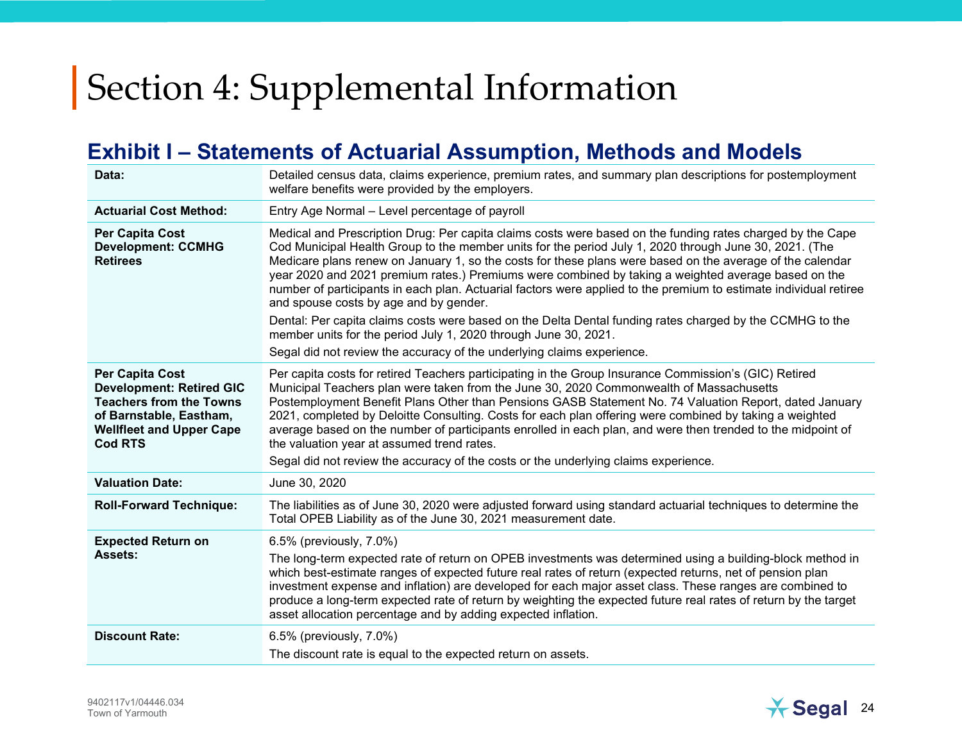#### Exhibit I – Statements of Actuarial Assumption, Methods and Models

| Data:                                                                                                                                                                       | Detailed census data, claims experience, premium rates, and summary plan descriptions for postemployment<br>welfare benefits were provided by the employers.                                                                                                                                                                                                                                                                                                                                                                                                                                                                                                                                                                                                                                                                                                     |
|-----------------------------------------------------------------------------------------------------------------------------------------------------------------------------|------------------------------------------------------------------------------------------------------------------------------------------------------------------------------------------------------------------------------------------------------------------------------------------------------------------------------------------------------------------------------------------------------------------------------------------------------------------------------------------------------------------------------------------------------------------------------------------------------------------------------------------------------------------------------------------------------------------------------------------------------------------------------------------------------------------------------------------------------------------|
| <b>Actuarial Cost Method:</b>                                                                                                                                               | Entry Age Normal - Level percentage of payroll                                                                                                                                                                                                                                                                                                                                                                                                                                                                                                                                                                                                                                                                                                                                                                                                                   |
| <b>Per Capita Cost</b><br><b>Development: CCMHG</b><br><b>Retirees</b>                                                                                                      | Medical and Prescription Drug: Per capita claims costs were based on the funding rates charged by the Cape<br>Cod Municipal Health Group to the member units for the period July 1, 2020 through June 30, 2021. (The<br>Medicare plans renew on January 1, so the costs for these plans were based on the average of the calendar<br>year 2020 and 2021 premium rates.) Premiums were combined by taking a weighted average based on the<br>number of participants in each plan. Actuarial factors were applied to the premium to estimate individual retiree<br>and spouse costs by age and by gender.<br>Dental: Per capita claims costs were based on the Delta Dental funding rates charged by the CCMHG to the<br>member units for the period July 1, 2020 through June 30, 2021.<br>Segal did not review the accuracy of the underlying claims experience. |
| <b>Per Capita Cost</b><br><b>Development: Retired GIC</b><br><b>Teachers from the Towns</b><br>of Barnstable, Eastham,<br><b>Wellfleet and Upper Cape</b><br><b>Cod RTS</b> | Per capita costs for retired Teachers participating in the Group Insurance Commission's (GIC) Retired<br>Municipal Teachers plan were taken from the June 30, 2020 Commonwealth of Massachusetts<br>Postemployment Benefit Plans Other than Pensions GASB Statement No. 74 Valuation Report, dated January<br>2021, completed by Deloitte Consulting. Costs for each plan offering were combined by taking a weighted<br>average based on the number of participants enrolled in each plan, and were then trended to the midpoint of<br>the valuation year at assumed trend rates.<br>Segal did not review the accuracy of the costs or the underlying claims experience.                                                                                                                                                                                        |
| <b>Valuation Date:</b>                                                                                                                                                      | June 30, 2020                                                                                                                                                                                                                                                                                                                                                                                                                                                                                                                                                                                                                                                                                                                                                                                                                                                    |
| <b>Roll-Forward Technique:</b>                                                                                                                                              | The liabilities as of June 30, 2020 were adjusted forward using standard actuarial techniques to determine the<br>Total OPEB Liability as of the June 30, 2021 measurement date.                                                                                                                                                                                                                                                                                                                                                                                                                                                                                                                                                                                                                                                                                 |
| <b>Expected Return on</b><br>Assets:                                                                                                                                        | 6.5% (previously, 7.0%)<br>The long-term expected rate of return on OPEB investments was determined using a building-block method in<br>which best-estimate ranges of expected future real rates of return (expected returns, net of pension plan<br>investment expense and inflation) are developed for each major asset class. These ranges are combined to<br>produce a long-term expected rate of return by weighting the expected future real rates of return by the target<br>asset allocation percentage and by adding expected inflation.                                                                                                                                                                                                                                                                                                                |
| <b>Discount Rate:</b>                                                                                                                                                       | 6.5% (previously, 7.0%)<br>The discount rate is equal to the expected return on assets.                                                                                                                                                                                                                                                                                                                                                                                                                                                                                                                                                                                                                                                                                                                                                                          |

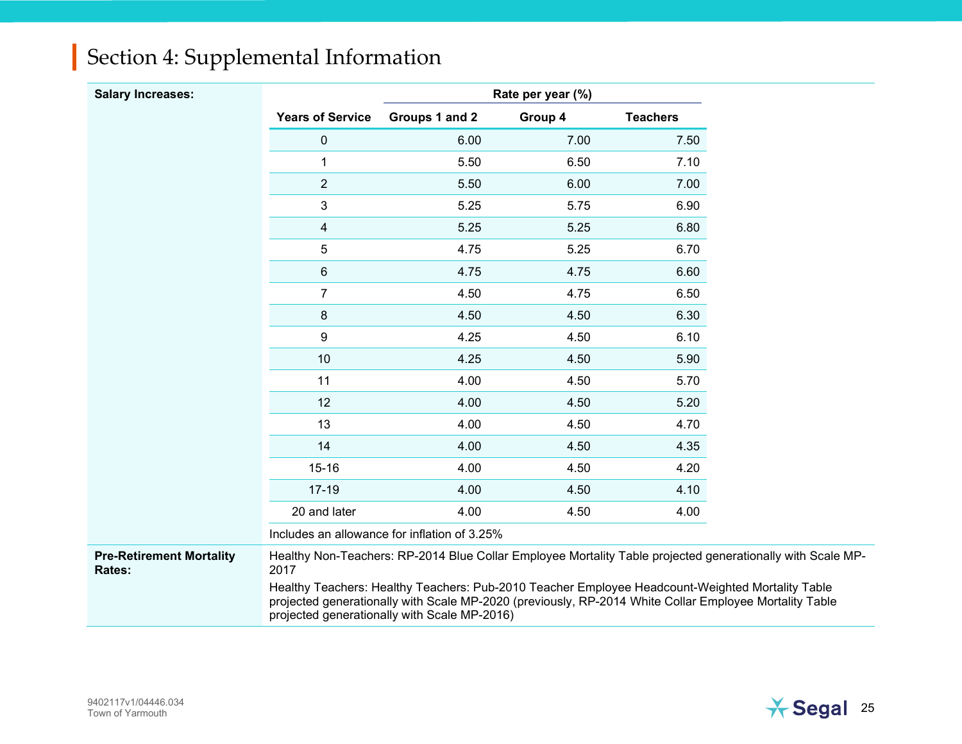| Section 4: Supplemental Information |  |
|-------------------------------------|--|
|-------------------------------------|--|

| <b>Salary Increases:</b>                  |                         |                                                                                                                                                                                                                                                            | Rate per year (%) |                 |
|-------------------------------------------|-------------------------|------------------------------------------------------------------------------------------------------------------------------------------------------------------------------------------------------------------------------------------------------------|-------------------|-----------------|
|                                           | <b>Years of Service</b> | Groups 1 and 2                                                                                                                                                                                                                                             | Group 4           | <b>Teachers</b> |
|                                           | $\pmb{0}$               | 6.00                                                                                                                                                                                                                                                       | 7.00              | 7.50            |
|                                           | $\mathbf 1$             | 5.50                                                                                                                                                                                                                                                       | 6.50              | 7.10            |
|                                           | $\overline{2}$          | 5.50                                                                                                                                                                                                                                                       | 6.00              | 7.00            |
|                                           | 3                       | 5.25                                                                                                                                                                                                                                                       | 5.75              | 6.90            |
|                                           | 4                       | 5.25                                                                                                                                                                                                                                                       | 5.25              | 6.80            |
|                                           | 5                       | 4.75                                                                                                                                                                                                                                                       | 5.25              | 6.70            |
|                                           | 6                       | 4.75                                                                                                                                                                                                                                                       | 4.75              | 6.60            |
|                                           | $\overline{7}$          | 4.50                                                                                                                                                                                                                                                       | 4.75              | 6.50            |
|                                           | 8                       | 4.50                                                                                                                                                                                                                                                       | 4.50              | 6.30            |
|                                           | 9                       | 4.25                                                                                                                                                                                                                                                       | 4.50              | 6.10            |
|                                           | 10                      | 4.25                                                                                                                                                                                                                                                       | 4.50              | 5.90            |
|                                           | 11                      | 4.00                                                                                                                                                                                                                                                       | 4.50              | 5.70            |
|                                           | 12                      | 4.00                                                                                                                                                                                                                                                       | 4.50              | 5.20            |
|                                           | 13                      | 4.00                                                                                                                                                                                                                                                       | 4.50              | 4.70            |
|                                           | 14                      | 4.00                                                                                                                                                                                                                                                       | 4.50              | 4.35            |
|                                           | $15 - 16$               | 4.00                                                                                                                                                                                                                                                       | 4.50              | 4.20            |
|                                           | $17 - 19$               | 4.00                                                                                                                                                                                                                                                       | 4.50              | 4.10            |
|                                           | 20 and later            | 4.00                                                                                                                                                                                                                                                       | 4.50              | 4.00            |
|                                           |                         | Includes an allowance for inflation of 3.25%                                                                                                                                                                                                               |                   |                 |
| <b>Pre-Retirement Mortality</b><br>Rates: | 2017                    | Healthy Non-Teachers: RP-2014 Blue Collar Employee Mortality Table projected generationally with Scale MP-                                                                                                                                                 |                   |                 |
|                                           |                         | Healthy Teachers: Healthy Teachers: Pub-2010 Teacher Employee Headcount-Weighted Mortality Table<br>projected generationally with Scale MP-2020 (previously, RP-2014 White Collar Employee Mortality Table<br>projected generationally with Scale MP-2016) |                   |                 |

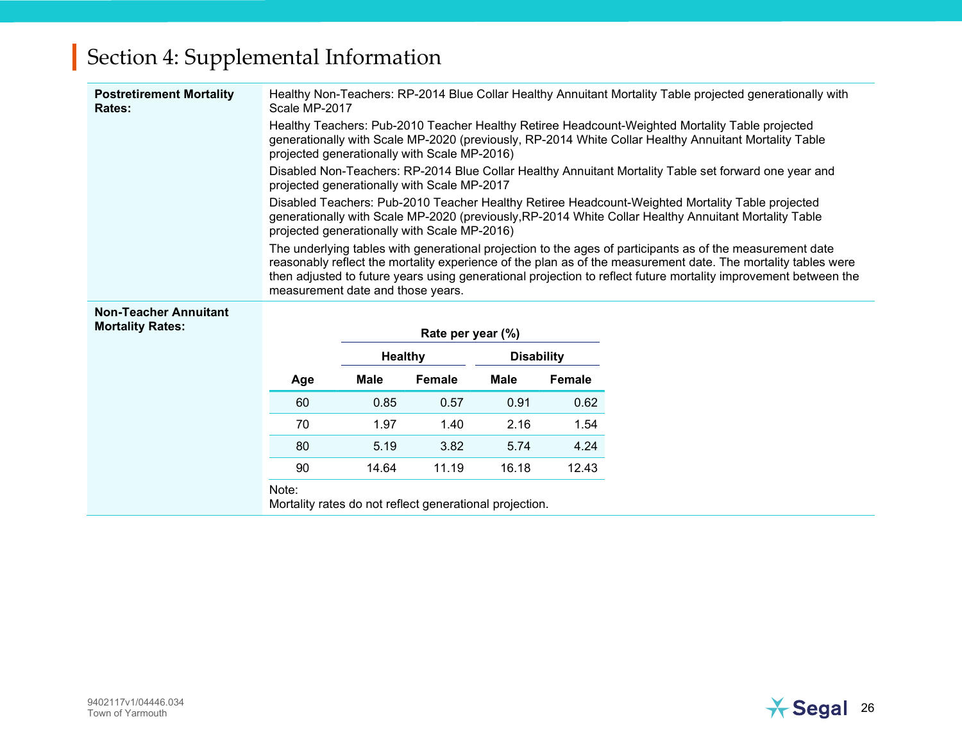| <b>Postretirement Mortality</b><br>Rates:               | Scale MP-2017                                                                                                                                                                                                                                            |                |                                              |                   |               | Healthy Non-Teachers: RP-2014 Blue Collar Healthy Annuitant Mortality Table projected generationally with                                                                                                                                                                                                                                     |  |
|---------------------------------------------------------|----------------------------------------------------------------------------------------------------------------------------------------------------------------------------------------------------------------------------------------------------------|----------------|----------------------------------------------|-------------------|---------------|-----------------------------------------------------------------------------------------------------------------------------------------------------------------------------------------------------------------------------------------------------------------------------------------------------------------------------------------------|--|
|                                                         | Healthy Teachers: Pub-2010 Teacher Healthy Retiree Headcount-Weighted Mortality Table projected<br>generationally with Scale MP-2020 (previously, RP-2014 White Collar Healthy Annuitant Mortality Table<br>projected generationally with Scale MP-2016) |                |                                              |                   |               |                                                                                                                                                                                                                                                                                                                                               |  |
|                                                         |                                                                                                                                                                                                                                                          |                | projected generationally with Scale MP-2017  |                   |               | Disabled Non-Teachers: RP-2014 Blue Collar Healthy Annuitant Mortality Table set forward one year and                                                                                                                                                                                                                                         |  |
|                                                         |                                                                                                                                                                                                                                                          |                | projected generationally with Scale MP-2016) |                   |               | Disabled Teachers: Pub-2010 Teacher Healthy Retiree Headcount-Weighted Mortality Table projected<br>generationally with Scale MP-2020 (previously, RP-2014 White Collar Healthy Annuitant Mortality Table                                                                                                                                     |  |
|                                                         | measurement date and those years.                                                                                                                                                                                                                        |                |                                              |                   |               | The underlying tables with generational projection to the ages of participants as of the measurement date<br>reasonably reflect the mortality experience of the plan as of the measurement date. The mortality tables were<br>then adjusted to future years using generational projection to reflect future mortality improvement between the |  |
| <b>Non-Teacher Annuitant</b><br><b>Mortality Rates:</b> |                                                                                                                                                                                                                                                          |                | Rate per year (%)                            |                   |               |                                                                                                                                                                                                                                                                                                                                               |  |
|                                                         |                                                                                                                                                                                                                                                          | <b>Healthy</b> |                                              | <b>Disability</b> |               |                                                                                                                                                                                                                                                                                                                                               |  |
|                                                         | Age                                                                                                                                                                                                                                                      | Male           | <b>Female</b>                                | <b>Male</b>       | <b>Female</b> |                                                                                                                                                                                                                                                                                                                                               |  |
|                                                         | 60                                                                                                                                                                                                                                                       | 0.85           | 0.57                                         | 0.91              | 0.62          |                                                                                                                                                                                                                                                                                                                                               |  |
|                                                         | 70                                                                                                                                                                                                                                                       | 1.97           | 1.40                                         | 2.16              | 1.54          |                                                                                                                                                                                                                                                                                                                                               |  |
|                                                         | 80                                                                                                                                                                                                                                                       | 5.19           | 3.82                                         | 5.74              | 4.24          |                                                                                                                                                                                                                                                                                                                                               |  |
|                                                         | 90                                                                                                                                                                                                                                                       | 14.64          | 11.19                                        | 16.18             | 12.43         |                                                                                                                                                                                                                                                                                                                                               |  |
|                                                         | Note:                                                                                                                                                                                                                                                    |                |                                              |                   |               |                                                                                                                                                                                                                                                                                                                                               |  |

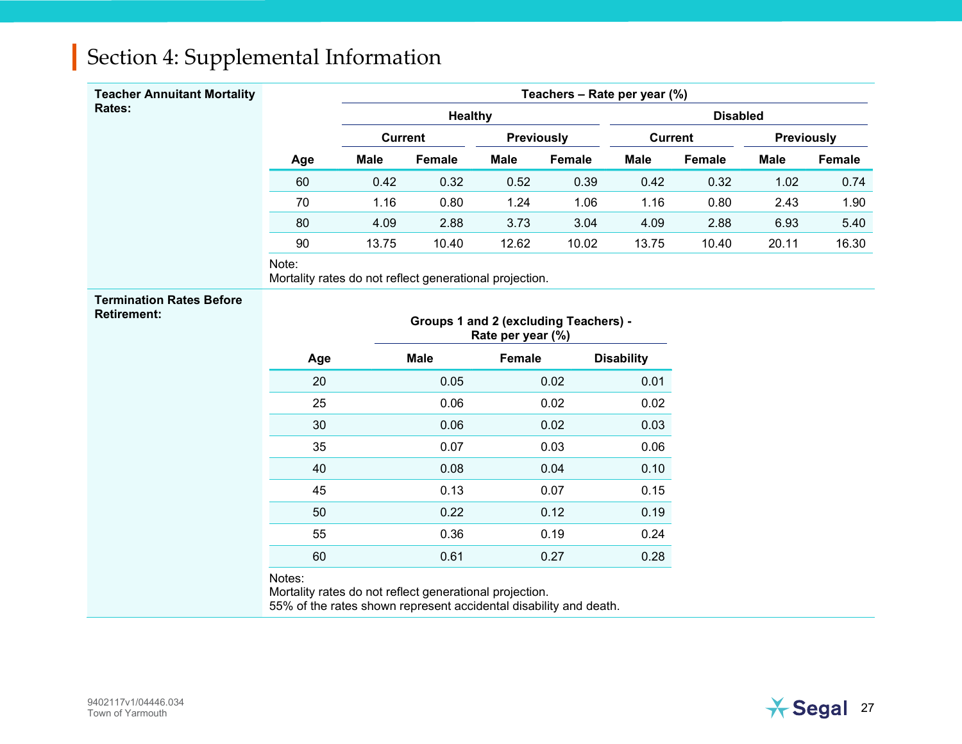| <b>Teacher Annuitant Mortality</b>                    |                                                                                                                                        |                                     |                                       |                   |                 | Teachers - Rate per year (%) |        |             |        |
|-------------------------------------------------------|----------------------------------------------------------------------------------------------------------------------------------------|-------------------------------------|---------------------------------------|-------------------|-----------------|------------------------------|--------|-------------|--------|
| Rates:                                                |                                                                                                                                        | <b>Healthy</b>                      |                                       |                   | <b>Disabled</b> |                              |        |             |        |
|                                                       |                                                                                                                                        | <b>Current</b><br><b>Previously</b> |                                       | <b>Current</b>    |                 | <b>Previously</b>            |        |             |        |
|                                                       | Age                                                                                                                                    | <b>Male</b>                         | Female                                | <b>Male</b>       | Female          | <b>Male</b>                  | Female | <b>Male</b> | Female |
|                                                       | 60                                                                                                                                     | 0.42                                | 0.32                                  | 0.52              | 0.39            | 0.42                         | 0.32   | 1.02        | 0.74   |
|                                                       | 70                                                                                                                                     | 1.16                                | 0.80                                  | 1.24              | 1.06            | 1.16                         | 0.80   | 2.43        | 1.90   |
|                                                       | 80                                                                                                                                     | 4.09                                | 2.88                                  | 3.73              | 3.04            | 4.09                         | 2.88   | 6.93        | 5.40   |
|                                                       | 90                                                                                                                                     | 13.75                               | 10.40                                 | 12.62             | 10.02           | 13.75                        | 10.40  | 20.11       | 16.30  |
|                                                       | Note:<br>Mortality rates do not reflect generational projection.                                                                       |                                     |                                       |                   |                 |                              |        |             |        |
| <b>Termination Rates Before</b><br><b>Retirement:</b> |                                                                                                                                        |                                     | Groups 1 and 2 (excluding Teachers) - | Rate per year (%) |                 |                              |        |             |        |
|                                                       | Age                                                                                                                                    |                                     | <b>Male</b>                           | Female            |                 | <b>Disability</b>            |        |             |        |
|                                                       | 20                                                                                                                                     |                                     | 0.05                                  |                   | 0.02            | 0.01                         |        |             |        |
|                                                       | 25                                                                                                                                     |                                     | 0.06                                  |                   | 0.02            | 0.02                         |        |             |        |
|                                                       | 30                                                                                                                                     |                                     | 0.06                                  |                   | 0.02            | 0.03                         |        |             |        |
|                                                       | 35                                                                                                                                     |                                     | 0.07                                  |                   | 0.03            | 0.06                         |        |             |        |
|                                                       | 40                                                                                                                                     |                                     | 0.08                                  |                   | 0.04            | 0.10                         |        |             |        |
|                                                       | 45                                                                                                                                     |                                     | 0.13                                  |                   | 0.07            | 0.15                         |        |             |        |
|                                                       | 50                                                                                                                                     |                                     | 0.22                                  |                   | 0.12            | 0.19                         |        |             |        |
|                                                       | 55                                                                                                                                     |                                     | 0.36                                  |                   | 0.19            | 0.24                         |        |             |        |
|                                                       | 60                                                                                                                                     |                                     | 0.61                                  |                   | 0.27            | 0.28                         |        |             |        |
|                                                       | Notes:<br>Mortality rates do not reflect generational projection.<br>55% of the rates shown represent accidental disability and death. |                                     |                                       |                   |                 |                              |        |             |        |

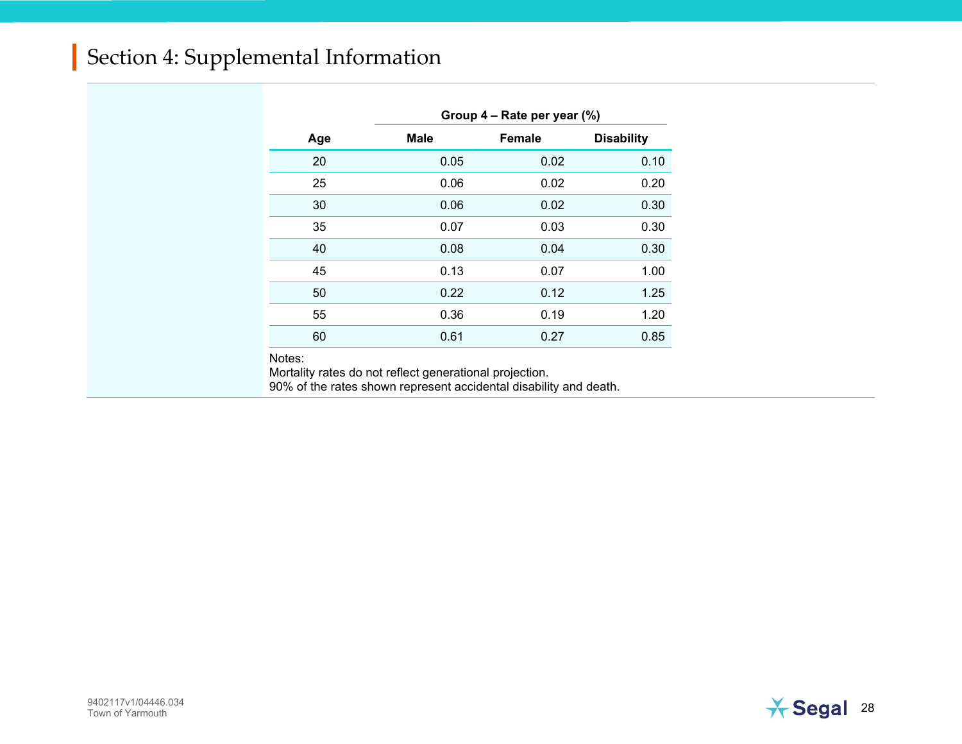|     | Group 4 – Rate per year (%) |               |                   |  |  |  |  |
|-----|-----------------------------|---------------|-------------------|--|--|--|--|
| Age | <b>Male</b>                 | <b>Female</b> | <b>Disability</b> |  |  |  |  |
| 20  | 0.05                        | 0.02          | 0.10              |  |  |  |  |
| 25  | 0.06                        | 0.02          | 0.20              |  |  |  |  |
| 30  | 0.06                        | 0.02          | 0.30              |  |  |  |  |
| 35  | 0.07                        | 0.03          | 0.30              |  |  |  |  |
| 40  | 0.08                        | 0.04          | 0.30              |  |  |  |  |
| 45  | 0.13                        | 0.07          | 1.00              |  |  |  |  |
| 50  | 0.22                        | 0.12          | 1.25              |  |  |  |  |
| 55  | 0.36                        | 0.19          | 1.20              |  |  |  |  |
| 60  | 0.61                        | 0.27          | 0.85              |  |  |  |  |

Notes:

Mortality rates do not reflect generational projection.

90% of the rates shown represent accidental disability and death.

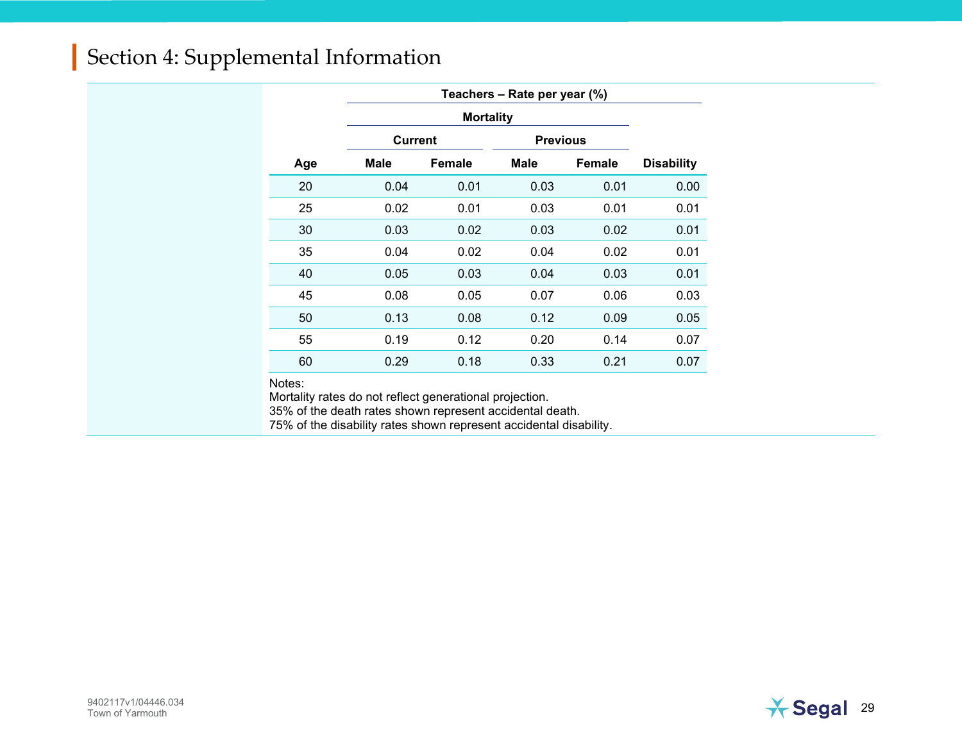|     | Teachers - Rate per year (%) |                  |                 |        |                   |  |
|-----|------------------------------|------------------|-----------------|--------|-------------------|--|
|     |                              | <b>Mortality</b> |                 |        |                   |  |
|     | <b>Current</b>               |                  | <b>Previous</b> |        |                   |  |
| Age | Male                         | Female           | Male            | Female | <b>Disability</b> |  |
| 20  | 0.04                         | 0.01             | 0.03            | 0.01   | 0.00              |  |
| 25  | 0.02                         | 0.01             | 0.03            | 0.01   | 0.01              |  |
| 30  | 0.03                         | 0.02             | 0.03            | 0.02   | 0.01              |  |
| 35  | 0.04                         | 0.02             | 0.04            | 0.02   | 0.01              |  |
| 40  | 0.05                         | 0.03             | 0.04            | 0.03   | 0.01              |  |
| 45  | 0.08                         | 0.05             | 0.07            | 0.06   | 0.03              |  |
| 50  | 0.13                         | 0.08             | 0.12            | 0.09   | 0.05              |  |
| 55  | 0.19                         | 0.12             | 0.20            | 0.14   | 0.07              |  |
| 60  | 0.29                         | 0.18             | 0.33            | 0.21   | 0.07              |  |

Notes:

Mortality rates do not reflect generational projection.

35% of the death rates shown represent accidental death.

75% of the disability rates shown represent accidental disability.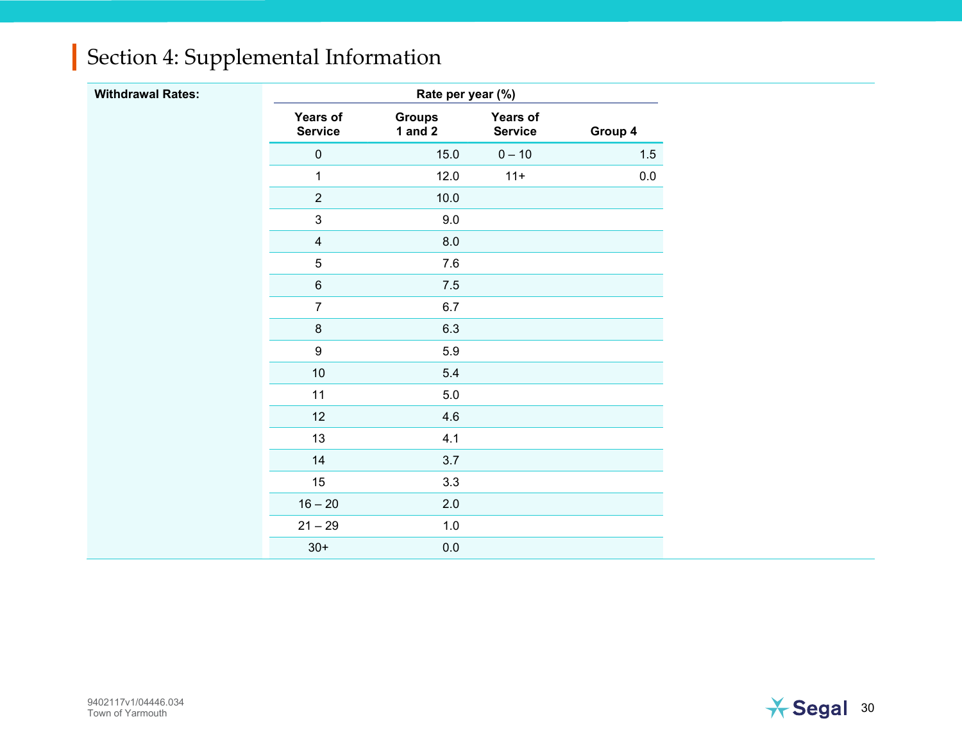| <b>Withdrawal Rates:</b> |                                   | Rate per year (%)          |                            |         |
|--------------------------|-----------------------------------|----------------------------|----------------------------|---------|
|                          | <b>Years of</b><br><b>Service</b> | <b>Groups</b><br>1 and $2$ | Years of<br><b>Service</b> | Group 4 |
|                          | $\pmb{0}$                         | 15.0                       | $0 - 10$                   | 1.5     |
|                          | $\mathbf{1}$                      | 12.0                       | $11+$                      | 0.0     |
|                          | $\sqrt{2}$                        | 10.0                       |                            |         |
|                          | $\mathfrak{S}$                    | 9.0                        |                            |         |
|                          | $\overline{4}$                    | 8.0                        |                            |         |
|                          | $\sqrt{5}$                        | $7.6\,$                    |                            |         |
|                          | $\,6\,$                           | $7.5$                      |                            |         |
|                          | $\overline{7}$                    | 6.7                        |                            |         |
|                          | $\,8\,$                           | 6.3                        |                            |         |
|                          | $\boldsymbol{9}$                  | 5.9                        |                            |         |
|                          | $10$                              | 5.4                        |                            |         |
|                          | 11                                | $5.0\,$                    |                            |         |
|                          | 12                                | 4.6                        |                            |         |
|                          | 13                                | 4.1                        |                            |         |
|                          | 14                                | 3.7                        |                            |         |
|                          | 15                                | 3.3                        |                            |         |
|                          | $16 - 20$                         | 2.0                        |                            |         |
|                          | $21 - 29$                         | $1.0\,$                    |                            |         |
|                          | $30+$                             | $0.0\,$                    |                            |         |

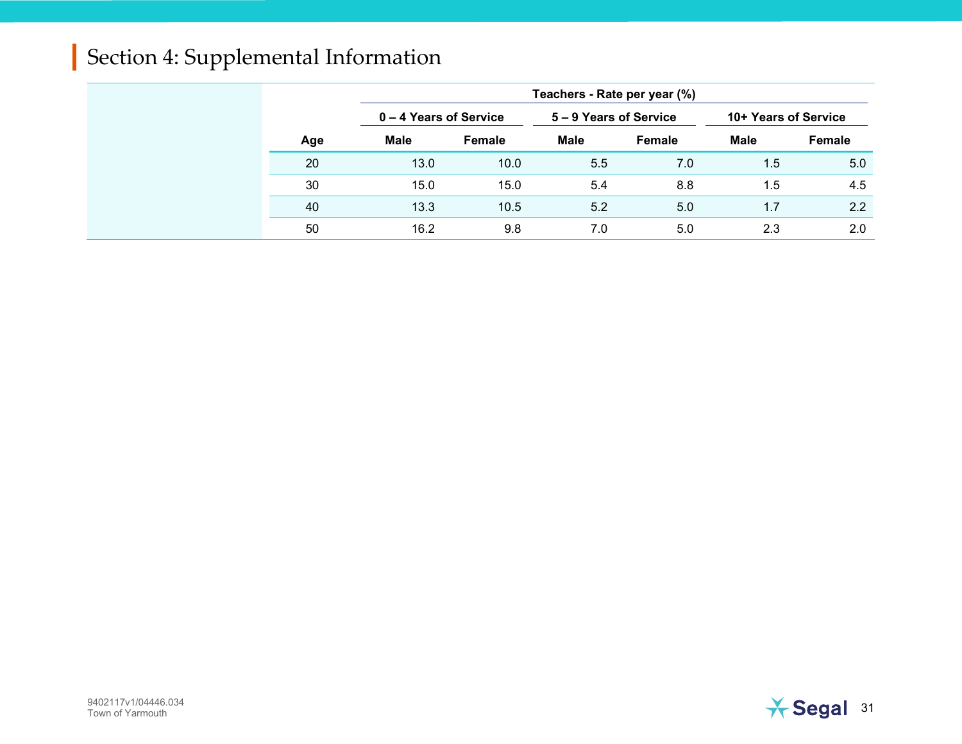|     | Teachers - Rate per year (%) |        |                        |        |                      |        |
|-----|------------------------------|--------|------------------------|--------|----------------------|--------|
|     | 0 – 4 Years of Service       |        | 5 – 9 Years of Service |        | 10+ Years of Service |        |
| Age | <b>Male</b>                  | Female | Male                   | Female | <b>Male</b>          | Female |
| 20  | 13.0                         | 10.0   | 5.5                    | 7.0    | 1.5                  | 5.0    |
| 30  | 15.0                         | 15.0   | 5.4                    | 8.8    | 1.5                  | 4.5    |
| 40  | 13.3                         | 10.5   | 5.2                    | 5.0    | 1.7                  | 2.2    |
| 50  | 16.2                         | 9.8    | 7.0                    | 5.0    | 2.3                  | 2.0    |

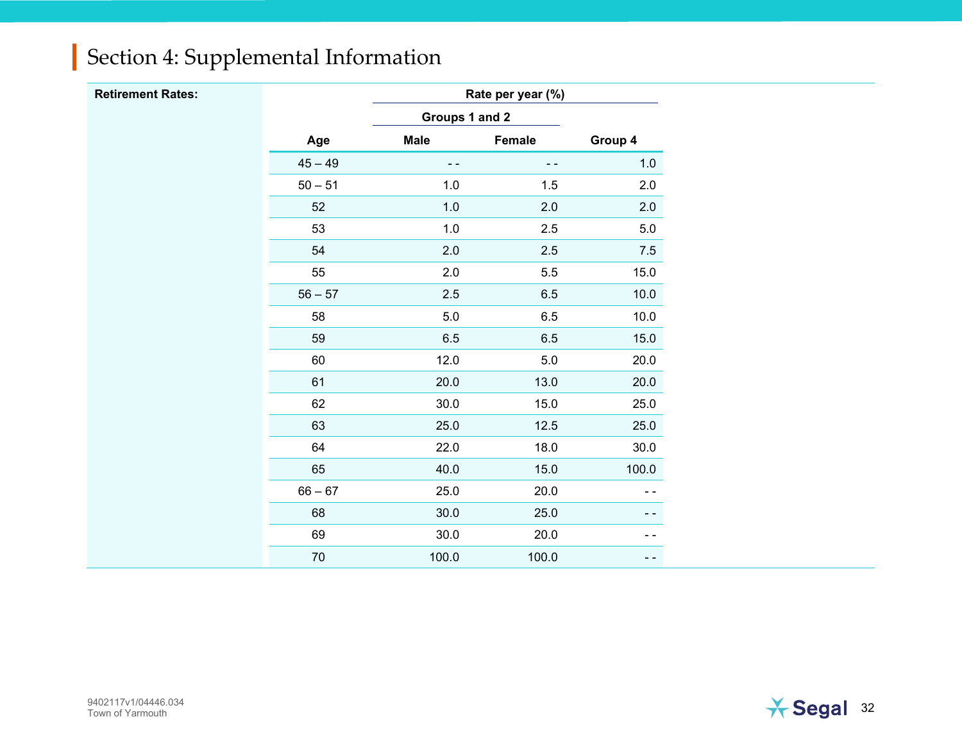| <b>Retirement Rates:</b> |           |                | Rate per year (%) |         |
|--------------------------|-----------|----------------|-------------------|---------|
|                          |           | Groups 1 and 2 |                   |         |
|                          | Age       | <b>Male</b>    | Female            | Group 4 |
|                          | $45 - 49$ | $ -$           | $\sim$ $\sim$     | 1.0     |
|                          | $50 - 51$ | $1.0\,$        | $1.5$             | 2.0     |
|                          | 52        | $1.0\,$        | $2.0\,$           | 2.0     |
|                          | 53        | $1.0\,$        | $2.5\,$           | $5.0\,$ |
|                          | 54        | 2.0            | 2.5               | 7.5     |
|                          | 55        | $2.0\,$        | $5.5\,$           | 15.0    |
|                          | $56 - 57$ | $2.5\,$        | $6.5\,$           | 10.0    |
|                          | 58        | $5.0\,$        | $6.5\,$           | 10.0    |
|                          | 59        | $6.5\,$        | $6.5\,$           | 15.0    |
|                          | 60        | 12.0           | $5.0\,$           | 20.0    |
|                          | 61        | 20.0           | 13.0              | 20.0    |
|                          | 62        | 30.0           | 15.0              | 25.0    |
|                          | 63        | 25.0           | $12.5$            | 25.0    |
|                          | 64        | 22.0           | 18.0              | 30.0    |
|                          | 65        | 40.0           | 15.0              | 100.0   |
|                          | $66 - 67$ | 25.0           | 20.0              | - -     |
|                          | 68        | 30.0           | 25.0              |         |
|                          | 69        | 30.0           | 20.0              | - -     |
|                          | $70\,$    | 100.0          | 100.0             | - -     |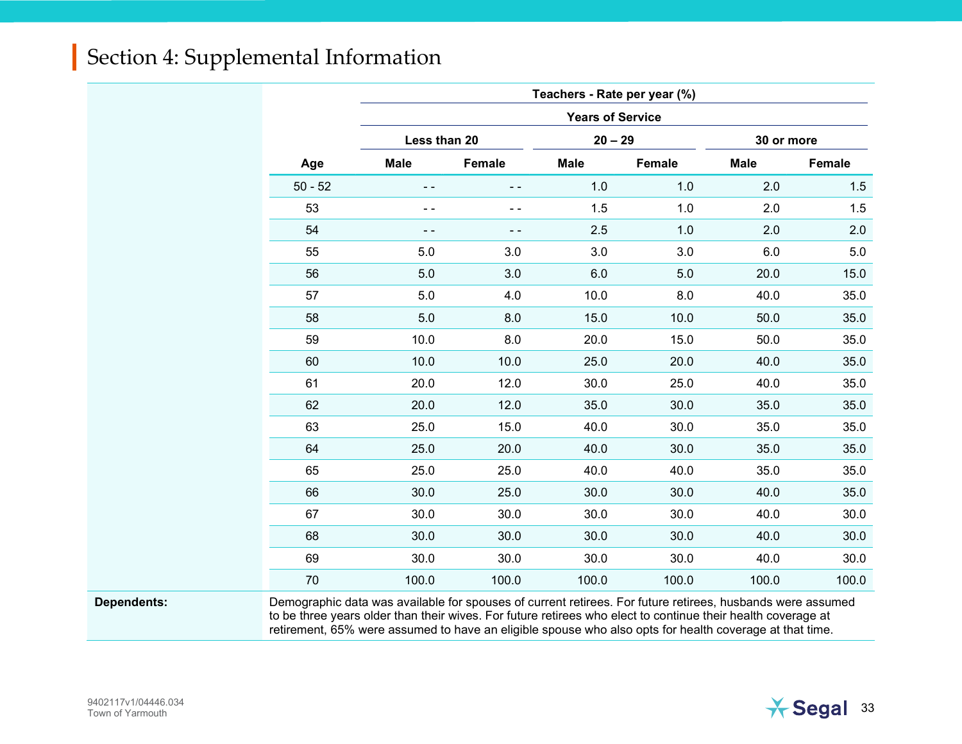|           |              |        | Teachers - Rate per year (%) |        |             |        |  |
|-----------|--------------|--------|------------------------------|--------|-------------|--------|--|
|           |              |        | <b>Years of Service</b>      |        |             |        |  |
|           | Less than 20 |        | $20 - 29$                    |        | 30 or more  |        |  |
| Age       | <b>Male</b>  | Female | <b>Male</b>                  | Female | <b>Male</b> | Female |  |
| $50 - 52$ | - -          | - -    | 1.0                          | 1.0    | 2.0         | 1.5    |  |
| 53        | ۰.           | ۰.     | 1.5                          | 1.0    | 2.0         | 1.5    |  |
| 54        | - -          | . .    | 2.5                          | 1.0    | 2.0         | 2.0    |  |
| 55        | 5.0          | 3.0    | 3.0                          | 3.0    | 6.0         | 5.0    |  |
| 56        | 5.0          | 3.0    | 6.0                          | 5.0    | 20.0        | 15.0   |  |
| 57        | 5.0          | 4.0    | 10.0                         | 8.0    | 40.0        | 35.0   |  |
| 58        | 5.0          | 8.0    | 15.0                         | 10.0   | 50.0        | 35.0   |  |
| 59        | 10.0         | 8.0    | 20.0                         | 15.0   | 50.0        | 35.0   |  |
| 60        | 10.0         | 10.0   | 25.0                         | 20.0   | 40.0        | 35.0   |  |
| 61        | 20.0         | 12.0   | 30.0                         | 25.0   | 40.0        | 35.0   |  |
| 62        | 20.0         | 12.0   | 35.0                         | 30.0   | 35.0        | 35.0   |  |
| 63        | 25.0         | 15.0   | 40.0                         | 30.0   | 35.0        | 35.0   |  |
| 64        | 25.0         | 20.0   | 40.0                         | 30.0   | 35.0        | 35.0   |  |
| 65        | 25.0         | 25.0   | 40.0                         | 40.0   | 35.0        | 35.0   |  |
| 66        | 30.0         | 25.0   | 30.0                         | 30.0   | 40.0        | 35.0   |  |
| 67        | 30.0         | 30.0   | 30.0                         | 30.0   | 40.0        | 30.0   |  |
| 68        | 30.0         | 30.0   | 30.0                         | 30.0   | 40.0        | 30.0   |  |
| 69        | 30.0         | 30.0   | 30.0                         | 30.0   | 40.0        | 30.0   |  |
| 70        | 100.0        | 100.0  | 100.0                        | 100.0  | 100.0       | 100.0  |  |
|           |              |        |                              |        |             |        |  |

Dependents: Demographic data was available for spouses of current retirees. For future retirees, husbands were assumed to be three years older than their wives. For future retirees who elect to continue their health coverage at retirement, 65% were assumed to have an eligible spouse who also opts for health coverage at that time.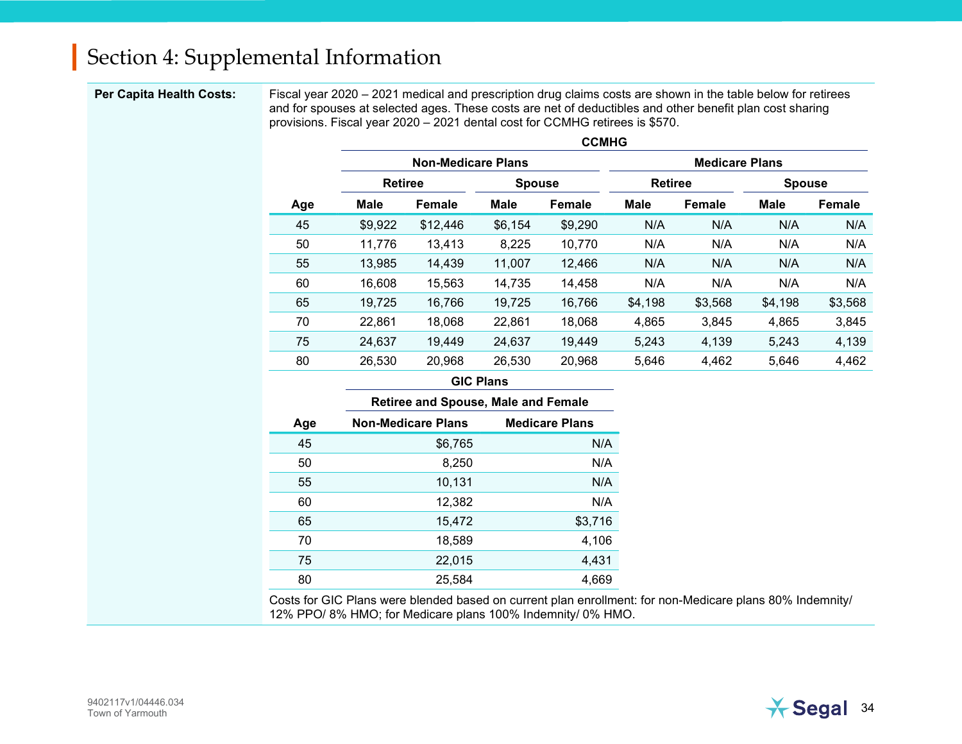Per Capita Health Costs: Fiscal year 2020 – 2021 medical and prescription drug claims costs are shown in the table below for retirees and for spouses at selected ages. These costs are net of deductibles and other benefit plan cost sharing provisions. Fiscal year 2020 – 2021 dental cost for CCMHG retirees is \$570.

|     |                |                           |               | <b>CCMHG</b> |                       |         |               |         |
|-----|----------------|---------------------------|---------------|--------------|-----------------------|---------|---------------|---------|
|     |                | <b>Non-Medicare Plans</b> |               |              | <b>Medicare Plans</b> |         |               |         |
|     | <b>Retiree</b> |                           | <b>Spouse</b> |              | <b>Retiree</b>        |         | <b>Spouse</b> |         |
| Age | <b>Male</b>    | <b>Female</b>             | <b>Male</b>   | Female       | <b>Male</b>           | Female  | <b>Male</b>   | Female  |
| 45  | \$9,922        | \$12,446                  | \$6,154       | \$9,290      | N/A                   | N/A     | N/A           | N/A     |
| 50  | 11,776         | 13,413                    | 8,225         | 10,770       | N/A                   | N/A     | N/A           | N/A     |
| 55  | 13,985         | 14,439                    | 11,007        | 12,466       | N/A                   | N/A     | N/A           | N/A     |
| 60  | 16,608         | 15,563                    | 14,735        | 14,458       | N/A                   | N/A     | N/A           | N/A     |
| 65  | 19,725         | 16,766                    | 19,725        | 16,766       | \$4,198               | \$3,568 | \$4,198       | \$3,568 |
| 70  | 22,861         | 18,068                    | 22,861        | 18,068       | 4,865                 | 3,845   | 4,865         | 3,845   |
| 75  | 24,637         | 19,449                    | 24,637        | 19,449       | 5,243                 | 4,139   | 5,243         | 4,139   |
| 80  | 26,530         | 20,968                    | 26,530        | 20,968       | 5,646                 | 4,462   | 5,646         | 4,462   |

#### GIC Plans

|     | <b>Retiree and Spouse, Male and Female</b> |                       |  |  |  |
|-----|--------------------------------------------|-----------------------|--|--|--|
| Age | <b>Non-Medicare Plans</b>                  | <b>Medicare Plans</b> |  |  |  |
| 45  | \$6,765                                    | N/A                   |  |  |  |
| 50  | 8,250                                      | N/A                   |  |  |  |
| 55  | 10,131                                     | N/A                   |  |  |  |
| 60  | 12,382                                     | N/A                   |  |  |  |
| 65  | 15,472                                     | \$3,716               |  |  |  |
| 70  | 18,589                                     | 4,106                 |  |  |  |
| 75  | 22,015                                     | 4,431                 |  |  |  |
| 80  | 25,584                                     | 4,669                 |  |  |  |

Costs for GIC Plans were blended based on current plan enrollment: for non-Medicare plans 80% Indemnity/ 12% PPO/ 8% HMO; for Medicare plans 100% Indemnity/ 0% HMO.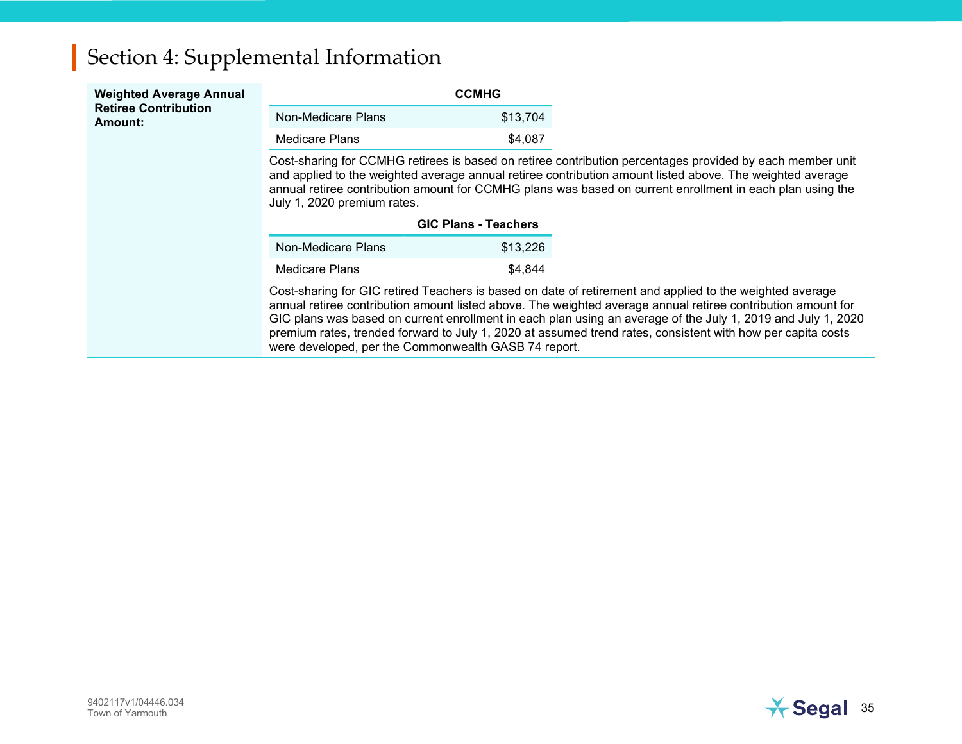| <b>Weighted Average Annual</b><br><b>Retiree Contribution</b><br>Amount: |                                                                                                                                                                                                                                                                                                                                                                    | <b>CCMHG</b>                |                                                                                                                                                                                                                                                                                                                                                                                                                                                         |  |
|--------------------------------------------------------------------------|--------------------------------------------------------------------------------------------------------------------------------------------------------------------------------------------------------------------------------------------------------------------------------------------------------------------------------------------------------------------|-----------------------------|---------------------------------------------------------------------------------------------------------------------------------------------------------------------------------------------------------------------------------------------------------------------------------------------------------------------------------------------------------------------------------------------------------------------------------------------------------|--|
|                                                                          | Non-Medicare Plans                                                                                                                                                                                                                                                                                                                                                 | \$13,704                    |                                                                                                                                                                                                                                                                                                                                                                                                                                                         |  |
|                                                                          | Medicare Plans                                                                                                                                                                                                                                                                                                                                                     | \$4.087                     |                                                                                                                                                                                                                                                                                                                                                                                                                                                         |  |
|                                                                          | Cost-sharing for CCMHG retirees is based on retiree contribution percentages provided by each member unit<br>and applied to the weighted average annual retiree contribution amount listed above. The weighted average<br>annual retiree contribution amount for CCMHG plans was based on current enrollment in each plan using the<br>July 1, 2020 premium rates. |                             |                                                                                                                                                                                                                                                                                                                                                                                                                                                         |  |
|                                                                          |                                                                                                                                                                                                                                                                                                                                                                    | <b>GIC Plans - Teachers</b> |                                                                                                                                                                                                                                                                                                                                                                                                                                                         |  |
|                                                                          | Non-Medicare Plans                                                                                                                                                                                                                                                                                                                                                 | \$13,226                    |                                                                                                                                                                                                                                                                                                                                                                                                                                                         |  |
|                                                                          | Medicare Plans                                                                                                                                                                                                                                                                                                                                                     | \$4,844                     |                                                                                                                                                                                                                                                                                                                                                                                                                                                         |  |
|                                                                          | were developed, per the Commonwealth GASB 74 report.                                                                                                                                                                                                                                                                                                               |                             | Cost-sharing for GIC retired Teachers is based on date of retirement and applied to the weighted average<br>annual retiree contribution amount listed above. The weighted average annual retiree contribution amount for<br>GIC plans was based on current enrollment in each plan using an average of the July 1, 2019 and July 1, 2020<br>premium rates, trended forward to July 1, 2020 at assumed trend rates, consistent with how per capita costs |  |

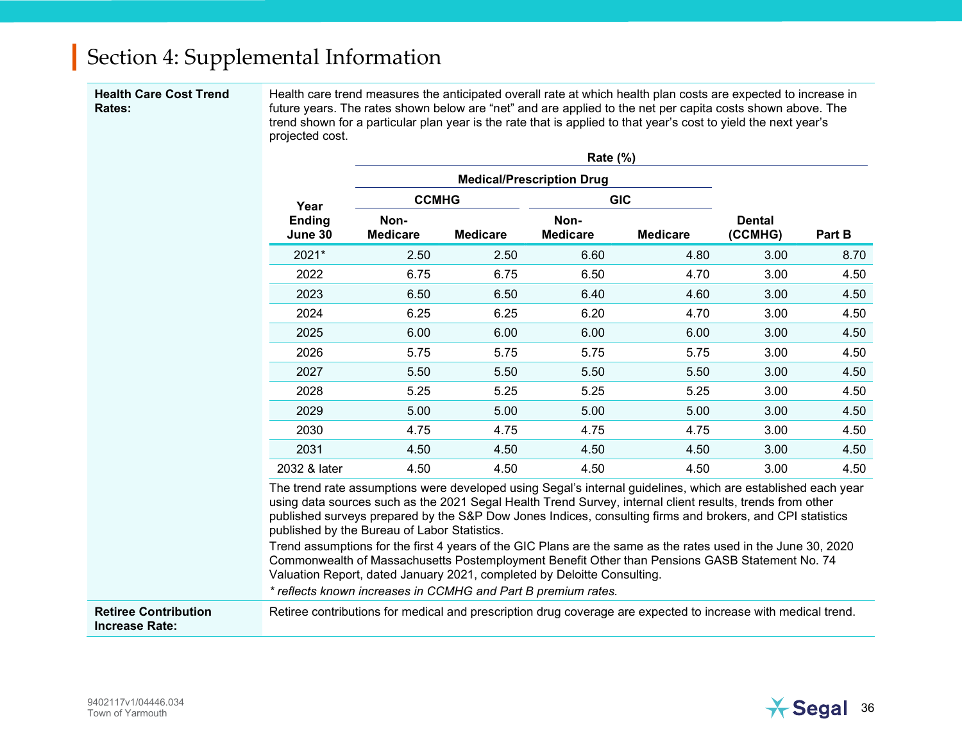#### Health Care Cost Trend Rates:

Health care trend measures the anticipated overall rate at which health plan costs are expected to increase in future years. The rates shown below are "net" and are applied to the net per capita costs shown above. The trend shown for a particular plan year is the rate that is applied to that year's cost to yield the next year's projected cost.

|                                  |                         |                 | Rate (%)<br><b>Medical/Prescription Drug</b> |                 |                          |        |
|----------------------------------|-------------------------|-----------------|----------------------------------------------|-----------------|--------------------------|--------|
|                                  |                         | <b>CCMHG</b>    |                                              | <b>GIC</b>      |                          |        |
| Year<br><b>Ending</b><br>June 30 | Non-<br><b>Medicare</b> | <b>Medicare</b> | Non-<br><b>Medicare</b>                      | <b>Medicare</b> | <b>Dental</b><br>(CCMHG) | Part B |
| 2021*                            | 2.50                    | 2.50            | 6.60                                         | 4.80            | 3.00                     | 8.70   |
| 2022                             | 6.75                    | 6.75            | 6.50                                         | 4.70            | 3.00                     | 4.50   |
| 2023                             | 6.50                    | 6.50            | 6.40                                         | 4.60            | 3.00                     | 4.50   |
| 2024                             | 6.25                    | 6.25            | 6.20                                         | 4.70            | 3.00                     | 4.50   |
| 2025                             | 6.00                    | 6.00            | 6.00                                         | 6.00            | 3.00                     | 4.50   |
| 2026                             | 5.75                    | 5.75            | 5.75                                         | 5.75            | 3.00                     | 4.50   |
| 2027                             | 5.50                    | 5.50            | 5.50                                         | 5.50            | 3.00                     | 4.50   |
| 2028                             | 5.25                    | 5.25            | 5.25                                         | 5.25            | 3.00                     | 4.50   |
| 2029                             | 5.00                    | 5.00            | 5.00                                         | 5.00            | 3.00                     | 4.50   |
| 2030                             | 4.75                    | 4.75            | 4.75                                         | 4.75            | 3.00                     | 4.50   |
| 2031                             | 4.50                    | 4.50            | 4.50                                         | 4.50            | 3.00                     | 4.50   |
| 2032 & later                     | 4.50                    | 4.50            | 4.50                                         | 4.50            | 3.00                     | 4.50   |

Trend assumptions for the first 4 years of the GIC Plans are the same as the rates used in the June 30, 2020 Commonwealth of Massachusetts Postemployment Benefit Other than Pensions GASB Statement No. 74 Valuation Report, dated January 2021, completed by Deloitte Consulting.

\* reflects known increases in CCMHG and Part B premium rates.

Retiree Contribution Increase Rate: Retiree contributions for medical and prescription drug coverage are expected to increase with medical trend.

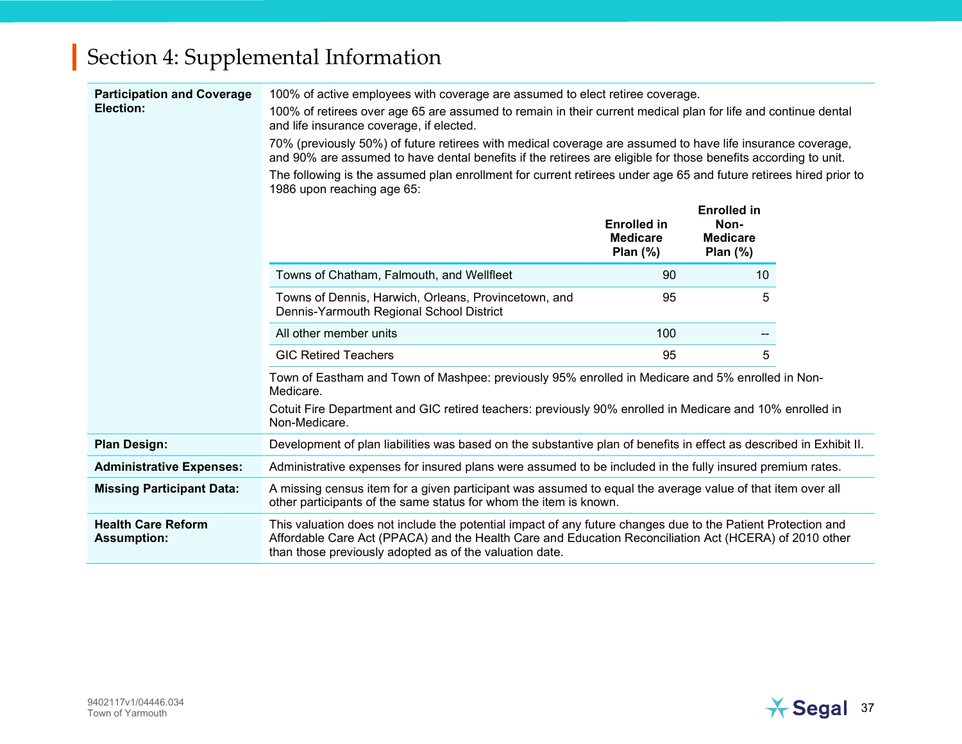| <b>Participation and Coverage</b><br>Election:  | 100% of active employees with coverage are assumed to elect retiree coverage.<br>100% of retirees over age 65 are assumed to remain in their current medical plan for life and continue dental<br>and life insurance coverage, if elected.<br>70% (previously 50%) of future retirees with medical coverage are assumed to have life insurance coverage, |                                                     |                                                              |  |  |  |  |
|-------------------------------------------------|----------------------------------------------------------------------------------------------------------------------------------------------------------------------------------------------------------------------------------------------------------------------------------------------------------------------------------------------------------|-----------------------------------------------------|--------------------------------------------------------------|--|--|--|--|
|                                                 | and 90% are assumed to have dental benefits if the retirees are eligible for those benefits according to unit.                                                                                                                                                                                                                                           |                                                     |                                                              |  |  |  |  |
|                                                 | The following is the assumed plan enrollment for current retirees under age 65 and future retirees hired prior to<br>1986 upon reaching age 65:                                                                                                                                                                                                          |                                                     |                                                              |  |  |  |  |
|                                                 |                                                                                                                                                                                                                                                                                                                                                          | <b>Enrolled in</b><br><b>Medicare</b><br>Plan $(%)$ | <b>Enrolled in</b><br>Non-<br><b>Medicare</b><br>Plan $(\%)$ |  |  |  |  |
|                                                 | Towns of Chatham, Falmouth, and Wellfleet                                                                                                                                                                                                                                                                                                                | 90                                                  | 10                                                           |  |  |  |  |
|                                                 | Towns of Dennis, Harwich, Orleans, Provincetown, and<br>Dennis-Yarmouth Regional School District                                                                                                                                                                                                                                                         | 95                                                  | 5                                                            |  |  |  |  |
|                                                 | All other member units                                                                                                                                                                                                                                                                                                                                   | 100                                                 |                                                              |  |  |  |  |
|                                                 | <b>GIC Retired Teachers</b>                                                                                                                                                                                                                                                                                                                              | 95                                                  | 5                                                            |  |  |  |  |
|                                                 | Town of Eastham and Town of Mashpee: previously 95% enrolled in Medicare and 5% enrolled in Non-<br>Medicare.                                                                                                                                                                                                                                            |                                                     |                                                              |  |  |  |  |
|                                                 | Cotuit Fire Department and GIC retired teachers: previously 90% enrolled in Medicare and 10% enrolled in<br>Non-Medicare.                                                                                                                                                                                                                                |                                                     |                                                              |  |  |  |  |
| <b>Plan Design:</b>                             | Development of plan liabilities was based on the substantive plan of benefits in effect as described in Exhibit II.                                                                                                                                                                                                                                      |                                                     |                                                              |  |  |  |  |
| <b>Administrative Expenses:</b>                 | Administrative expenses for insured plans were assumed to be included in the fully insured premium rates.                                                                                                                                                                                                                                                |                                                     |                                                              |  |  |  |  |
| <b>Missing Participant Data:</b>                | A missing census item for a given participant was assumed to equal the average value of that item over all<br>other participants of the same status for whom the item is known.                                                                                                                                                                          |                                                     |                                                              |  |  |  |  |
| <b>Health Care Reform</b><br><b>Assumption:</b> | This valuation does not include the potential impact of any future changes due to the Patient Protection and<br>Affordable Care Act (PPACA) and the Health Care and Education Reconciliation Act (HCERA) of 2010 other<br>than those previously adopted as of the valuation date.                                                                        |                                                     |                                                              |  |  |  |  |

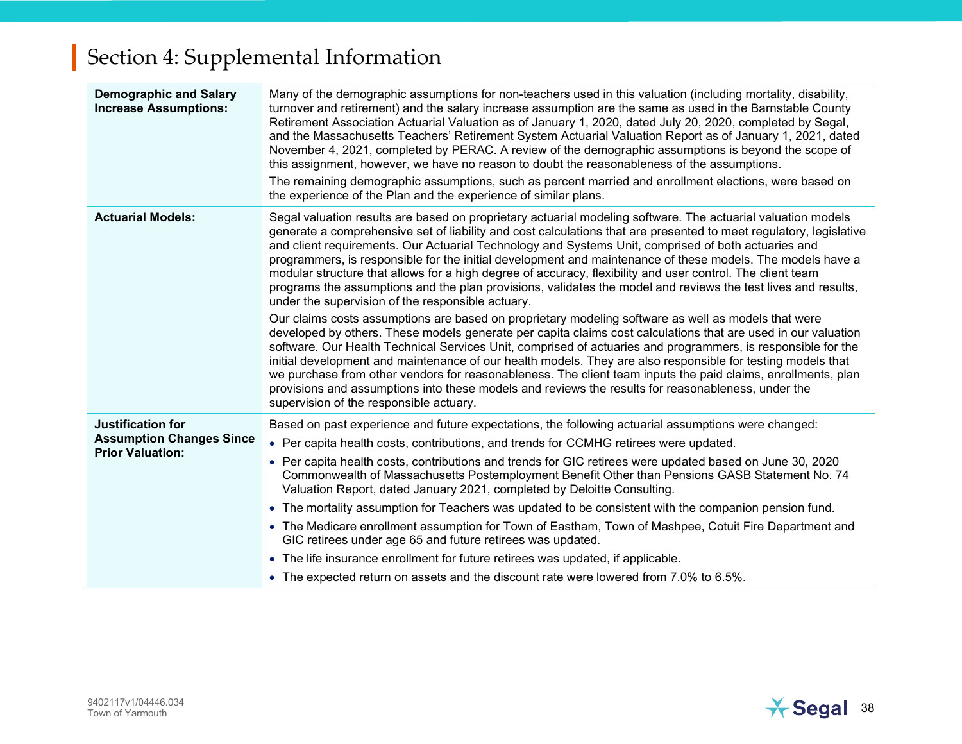| <b>Demographic and Salary</b><br><b>Increase Assumptions:</b> | Many of the demographic assumptions for non-teachers used in this valuation (including mortality, disability,<br>turnover and retirement) and the salary increase assumption are the same as used in the Barnstable County<br>Retirement Association Actuarial Valuation as of January 1, 2020, dated July 20, 2020, completed by Segal,<br>and the Massachusetts Teachers' Retirement System Actuarial Valuation Report as of January 1, 2021, dated<br>November 4, 2021, completed by PERAC. A review of the demographic assumptions is beyond the scope of<br>this assignment, however, we have no reason to doubt the reasonableness of the assumptions.<br>The remaining demographic assumptions, such as percent married and enrollment elections, were based on<br>the experience of the Plan and the experience of similar plans. |
|---------------------------------------------------------------|-------------------------------------------------------------------------------------------------------------------------------------------------------------------------------------------------------------------------------------------------------------------------------------------------------------------------------------------------------------------------------------------------------------------------------------------------------------------------------------------------------------------------------------------------------------------------------------------------------------------------------------------------------------------------------------------------------------------------------------------------------------------------------------------------------------------------------------------|
| <b>Actuarial Models:</b>                                      | Segal valuation results are based on proprietary actuarial modeling software. The actuarial valuation models<br>generate a comprehensive set of liability and cost calculations that are presented to meet regulatory, legislative<br>and client requirements. Our Actuarial Technology and Systems Unit, comprised of both actuaries and<br>programmers, is responsible for the initial development and maintenance of these models. The models have a<br>modular structure that allows for a high degree of accuracy, flexibility and user control. The client team<br>programs the assumptions and the plan provisions, validates the model and reviews the test lives and results,<br>under the supervision of the responsible actuary.                                                                                               |
|                                                               | Our claims costs assumptions are based on proprietary modeling software as well as models that were<br>developed by others. These models generate per capita claims cost calculations that are used in our valuation<br>software. Our Health Technical Services Unit, comprised of actuaries and programmers, is responsible for the<br>initial development and maintenance of our health models. They are also responsible for testing models that<br>we purchase from other vendors for reasonableness. The client team inputs the paid claims, enrollments, plan<br>provisions and assumptions into these models and reviews the results for reasonableness, under the<br>supervision of the responsible actuary.                                                                                                                      |
| Justification for                                             | Based on past experience and future expectations, the following actuarial assumptions were changed:                                                                                                                                                                                                                                                                                                                                                                                                                                                                                                                                                                                                                                                                                                                                       |
| <b>Assumption Changes Since</b><br><b>Prior Valuation:</b>    | • Per capita health costs, contributions, and trends for CCMHG retirees were updated.                                                                                                                                                                                                                                                                                                                                                                                                                                                                                                                                                                                                                                                                                                                                                     |
|                                                               | • Per capita health costs, contributions and trends for GIC retirees were updated based on June 30, 2020<br>Commonwealth of Massachusetts Postemployment Benefit Other than Pensions GASB Statement No. 74<br>Valuation Report, dated January 2021, completed by Deloitte Consulting.                                                                                                                                                                                                                                                                                                                                                                                                                                                                                                                                                     |
|                                                               | • The mortality assumption for Teachers was updated to be consistent with the companion pension fund.                                                                                                                                                                                                                                                                                                                                                                                                                                                                                                                                                                                                                                                                                                                                     |
|                                                               | • The Medicare enrollment assumption for Town of Eastham, Town of Mashpee, Cotuit Fire Department and<br>GIC retirees under age 65 and future retirees was updated.                                                                                                                                                                                                                                                                                                                                                                                                                                                                                                                                                                                                                                                                       |
|                                                               | • The life insurance enrollment for future retirees was updated, if applicable.                                                                                                                                                                                                                                                                                                                                                                                                                                                                                                                                                                                                                                                                                                                                                           |
|                                                               | • The expected return on assets and the discount rate were lowered from 7.0% to 6.5%.                                                                                                                                                                                                                                                                                                                                                                                                                                                                                                                                                                                                                                                                                                                                                     |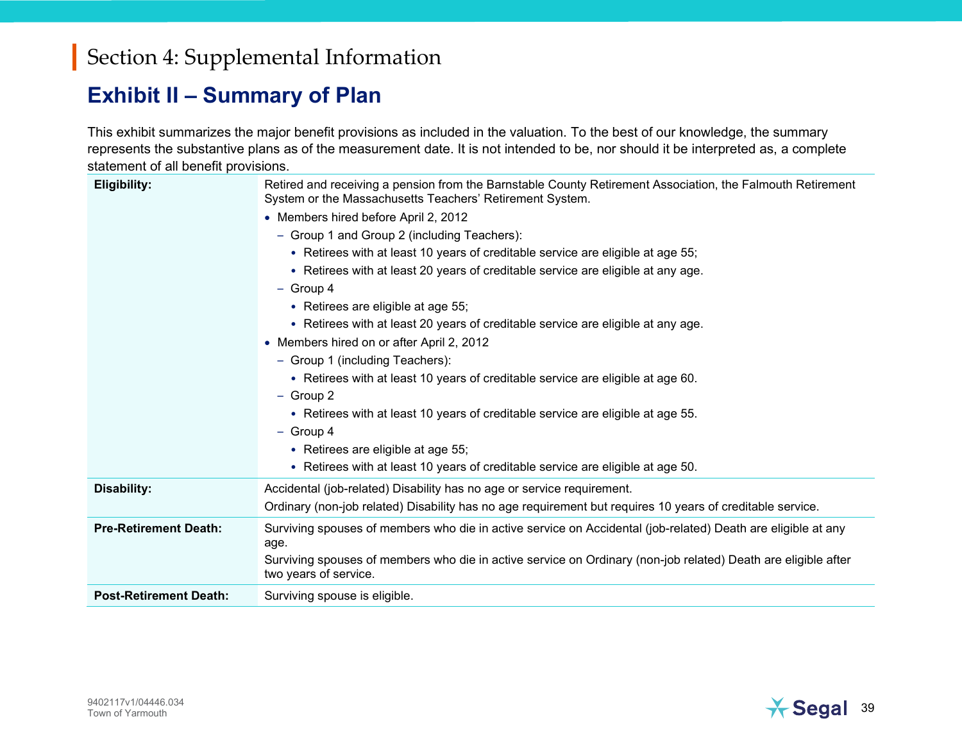#### Exhibit II – Summary of Plan

This exhibit summarizes the major benefit provisions as included in the valuation. To the best of our knowledge, the summary represents the substantive plans as of the measurement date. It is not intended to be, nor should it be interpreted as, a complete statement of all benefit provisions.

| <b>Eligibility:</b>           | Retired and receiving a pension from the Barnstable County Retirement Association, the Falmouth Retirement<br>System or the Massachusetts Teachers' Retirement System. |
|-------------------------------|------------------------------------------------------------------------------------------------------------------------------------------------------------------------|
|                               | • Members hired before April 2, 2012                                                                                                                                   |
|                               | - Group 1 and Group 2 (including Teachers):                                                                                                                            |
|                               | • Retirees with at least 10 years of creditable service are eligible at age 55;                                                                                        |
|                               | • Retirees with at least 20 years of creditable service are eligible at any age.                                                                                       |
|                               | $-$ Group 4                                                                                                                                                            |
|                               | • Retirees are eligible at age 55;                                                                                                                                     |
|                               | • Retirees with at least 20 years of creditable service are eligible at any age.                                                                                       |
|                               | • Members hired on or after April 2, 2012                                                                                                                              |
|                               | - Group 1 (including Teachers):                                                                                                                                        |
|                               | • Retirees with at least 10 years of creditable service are eligible at age 60.                                                                                        |
|                               | $-$ Group 2                                                                                                                                                            |
|                               | • Retirees with at least 10 years of creditable service are eligible at age 55.                                                                                        |
|                               | $-$ Group 4                                                                                                                                                            |
|                               | • Retirees are eligible at age 55;                                                                                                                                     |
|                               | • Retirees with at least 10 years of creditable service are eligible at age 50.                                                                                        |
| <b>Disability:</b>            | Accidental (job-related) Disability has no age or service requirement.                                                                                                 |
|                               | Ordinary (non-job related) Disability has no age requirement but requires 10 years of creditable service.                                                              |
| <b>Pre-Retirement Death:</b>  | Surviving spouses of members who die in active service on Accidental (job-related) Death are eligible at any<br>age.                                                   |
|                               | Surviving spouses of members who die in active service on Ordinary (non-job related) Death are eligible after<br>two years of service.                                 |
| <b>Post-Retirement Death:</b> | Surviving spouse is eligible.                                                                                                                                          |

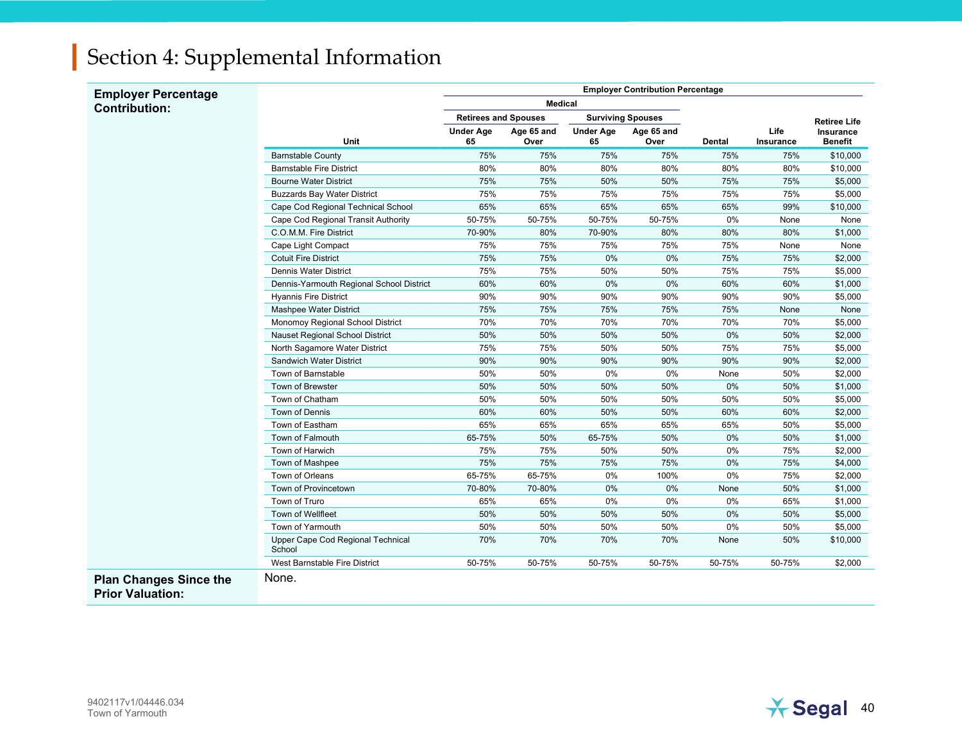| <b>Employer Percentage</b>                               |                                             | <b>Employer Contribution Percentage</b> |                                                         |                        |                    |               |                     |                             |
|----------------------------------------------------------|---------------------------------------------|-----------------------------------------|---------------------------------------------------------|------------------------|--------------------|---------------|---------------------|-----------------------------|
| <b>Contribution:</b>                                     |                                             | <b>Medical</b>                          |                                                         |                        |                    |               |                     |                             |
|                                                          |                                             |                                         | <b>Retirees and Spouses</b><br><b>Surviving Spouses</b> |                        |                    |               | <b>Retiree Life</b> |                             |
|                                                          | <b>Unit</b>                                 | <b>Under Age</b><br>65                  | Age 65 and<br>Over                                      | <b>Under Age</b><br>65 | Age 65 and<br>Over | <b>Dental</b> | Life<br>Insurance   | Insurance<br><b>Benefit</b> |
|                                                          | <b>Barnstable County</b>                    | 75%                                     | 75%                                                     | 75%                    | 75%                | 75%           | 75%                 | \$10,000                    |
|                                                          | <b>Barnstable Fire District</b>             | 80%                                     | 80%                                                     | 80%                    | 80%                | 80%           | 80%                 | \$10,000                    |
|                                                          | <b>Bourne Water District</b>                | 75%                                     | 75%                                                     | 50%                    | 50%                | 75%           | 75%                 | \$5,000                     |
|                                                          | <b>Buzzards Bay Water District</b>          | 75%                                     | 75%                                                     | 75%                    | 75%                | 75%           | 75%                 | \$5,000                     |
|                                                          | Cape Cod Regional Technical School          | 65%                                     | 65%                                                     | 65%                    | 65%                | 65%           | 99%                 | \$10,000                    |
|                                                          | Cape Cod Regional Transit Authority         | 50-75%                                  | 50-75%                                                  | 50-75%                 | 50-75%             | 0%            | None                | None                        |
|                                                          | C.O.M.M. Fire District                      | 70-90%                                  | 80%                                                     | 70-90%                 | 80%                | 80%           | 80%                 | \$1,000                     |
|                                                          | Cape Light Compact                          | 75%                                     | 75%                                                     | 75%                    | 75%                | 75%           | None                | None                        |
|                                                          | <b>Cotuit Fire District</b>                 | 75%                                     | 75%                                                     | 0%                     | 0%                 | 75%           | 75%                 | \$2,000                     |
|                                                          | Dennis Water District                       | 75%                                     | 75%                                                     | 50%                    | 50%                | 75%           | 75%                 | \$5,000                     |
|                                                          | Dennis-Yarmouth Regional School District    | 60%                                     | 60%                                                     | 0%                     | 0%                 | 60%           | 60%                 | \$1,000                     |
|                                                          | <b>Hyannis Fire District</b>                | 90%                                     | 90%                                                     | 90%                    | 90%                | 90%           | 90%                 | \$5,000                     |
|                                                          | Mashpee Water District                      | 75%                                     | 75%                                                     | 75%                    | 75%                | 75%           | None                | None                        |
|                                                          | Monomoy Regional School District            | 70%                                     | 70%                                                     | 70%                    | 70%                | 70%           | 70%                 | \$5,000                     |
|                                                          | Nauset Regional School District             | 50%                                     | 50%                                                     | 50%                    | 50%                | 0%            | 50%                 | \$2,000                     |
|                                                          | North Sagamore Water District               | 75%                                     | 75%                                                     | 50%                    | 50%                | 75%           | 75%                 | \$5,000                     |
|                                                          | Sandwich Water District                     | 90%                                     | 90%                                                     | 90%                    | 90%                | 90%           | 90%                 | \$2,000                     |
|                                                          | Town of Barnstable                          | 50%                                     | 50%                                                     | $0\%$                  | 0%                 | None          | 50%                 | \$2,000                     |
|                                                          | Town of Brewster                            | 50%                                     | 50%                                                     | 50%                    | 50%                | 0%            | 50%                 | \$1,000                     |
|                                                          | Town of Chatham                             | 50%                                     | 50%                                                     | 50%                    | 50%                | 50%           | 50%                 | \$5,000                     |
|                                                          | <b>Town of Dennis</b>                       | 60%                                     | 60%                                                     | 50%                    | 50%                | 60%           | 60%                 | \$2,000                     |
|                                                          | Town of Eastham                             | 65%                                     | 65%                                                     | 65%                    | 65%                | 65%           | 50%                 | \$5,000                     |
|                                                          | Town of Falmouth                            | 65-75%                                  | 50%                                                     | 65-75%                 | 50%                | 0%            | 50%                 | \$1,000                     |
|                                                          | Town of Harwich                             | 75%                                     | 75%                                                     | 50%                    | 50%                | 0%            | 75%                 | \$2,000                     |
|                                                          | Town of Mashpee                             | 75%                                     | 75%                                                     | 75%                    | 75%                | 0%            | 75%                 | \$4,000                     |
|                                                          | Town of Orleans                             | 65-75%                                  | 65-75%                                                  | 0%                     | 100%               | 0%            | 75%                 | \$2,000                     |
|                                                          | Town of Provincetown                        | 70-80%                                  | 70-80%                                                  | 0%                     | 0%                 | None          | 50%                 | \$1,000                     |
|                                                          | Town of Truro                               | 65%                                     | 65%                                                     | 0%                     | 0%                 | 0%            | 65%                 | \$1,000                     |
|                                                          | Town of Wellfleet                           | 50%                                     | 50%                                                     | 50%                    | 50%                | 0%            | 50%                 | \$5,000                     |
|                                                          | Town of Yarmouth                            | 50%                                     | 50%                                                     | 50%                    | 50%                | 0%            | 50%                 | \$5,000                     |
|                                                          | Upper Cape Cod Regional Technical<br>School | 70%                                     | 70%                                                     | 70%                    | 70%                | None          | 50%                 | \$10,000                    |
|                                                          | West Barnstable Fire District               | 50-75%                                  | 50-75%                                                  | 50-75%                 | 50-75%             | 50-75%        | 50-75%              | \$2,000                     |
| <b>Plan Changes Since the</b><br><b>Prior Valuation:</b> | None.                                       |                                         |                                                         |                        |                    |               |                     |                             |

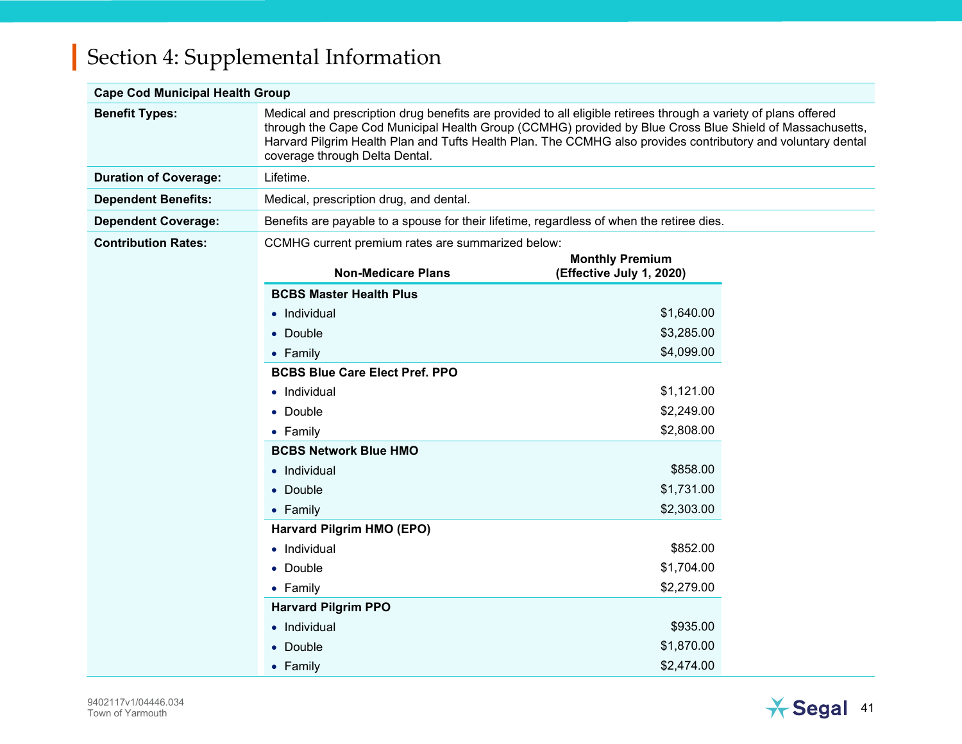#### Cape Cod Municipal Health Group

| <b>Benefit Types:</b>        | Medical and prescription drug benefits are provided to all eligible retirees through a variety of plans offered<br>through the Cape Cod Municipal Health Group (CCMHG) provided by Blue Cross Blue Shield of Massachusetts,<br>Harvard Pilgrim Health Plan and Tufts Health Plan. The CCMHG also provides contributory and voluntary dental<br>coverage through Delta Dental. |                        |  |  |  |
|------------------------------|-------------------------------------------------------------------------------------------------------------------------------------------------------------------------------------------------------------------------------------------------------------------------------------------------------------------------------------------------------------------------------|------------------------|--|--|--|
| <b>Duration of Coverage:</b> | Lifetime.                                                                                                                                                                                                                                                                                                                                                                     |                        |  |  |  |
| <b>Dependent Benefits:</b>   | Medical, prescription drug, and dental.                                                                                                                                                                                                                                                                                                                                       |                        |  |  |  |
| <b>Dependent Coverage:</b>   | Benefits are payable to a spouse for their lifetime, regardless of when the retiree dies.                                                                                                                                                                                                                                                                                     |                        |  |  |  |
| <b>Contribution Rates:</b>   | CCMHG current premium rates are summarized below:                                                                                                                                                                                                                                                                                                                             |                        |  |  |  |
|                              |                                                                                                                                                                                                                                                                                                                                                                               | <b>Monthly Premium</b> |  |  |  |
|                              | <b>Non-Medicare Plans</b><br>(Effective July 1, 2020)                                                                                                                                                                                                                                                                                                                         |                        |  |  |  |
|                              | <b>BCBS Master Health Plus</b>                                                                                                                                                                                                                                                                                                                                                |                        |  |  |  |
|                              | • Individual                                                                                                                                                                                                                                                                                                                                                                  | \$1,640.00             |  |  |  |
|                              | • Double                                                                                                                                                                                                                                                                                                                                                                      | \$3,285.00             |  |  |  |
|                              | • Family                                                                                                                                                                                                                                                                                                                                                                      | \$4,099.00             |  |  |  |
|                              | <b>BCBS Blue Care Elect Pref. PPO</b>                                                                                                                                                                                                                                                                                                                                         |                        |  |  |  |
|                              | • Individual                                                                                                                                                                                                                                                                                                                                                                  | \$1,121.00             |  |  |  |
|                              | • Double                                                                                                                                                                                                                                                                                                                                                                      | \$2,249.00             |  |  |  |
|                              | $\bullet$ Family                                                                                                                                                                                                                                                                                                                                                              | \$2,808.00             |  |  |  |
|                              | <b>BCBS Network Blue HMO</b>                                                                                                                                                                                                                                                                                                                                                  |                        |  |  |  |
|                              | • Individual                                                                                                                                                                                                                                                                                                                                                                  | \$858.00               |  |  |  |
|                              | • Double                                                                                                                                                                                                                                                                                                                                                                      | \$1,731.00             |  |  |  |
|                              | • Family                                                                                                                                                                                                                                                                                                                                                                      | \$2,303.00             |  |  |  |
|                              | Harvard Pilgrim HMO (EPO)                                                                                                                                                                                                                                                                                                                                                     |                        |  |  |  |
|                              | • Individual                                                                                                                                                                                                                                                                                                                                                                  | \$852.00               |  |  |  |
|                              | • Double                                                                                                                                                                                                                                                                                                                                                                      | \$1,704.00             |  |  |  |
|                              | $\bullet$ Family                                                                                                                                                                                                                                                                                                                                                              | \$2,279.00             |  |  |  |
|                              | <b>Harvard Pilgrim PPO</b>                                                                                                                                                                                                                                                                                                                                                    |                        |  |  |  |
|                              | • Individual                                                                                                                                                                                                                                                                                                                                                                  | \$935.00               |  |  |  |
|                              | • Double                                                                                                                                                                                                                                                                                                                                                                      | \$1,870.00             |  |  |  |
|                              | • Family                                                                                                                                                                                                                                                                                                                                                                      | \$2,474.00             |  |  |  |

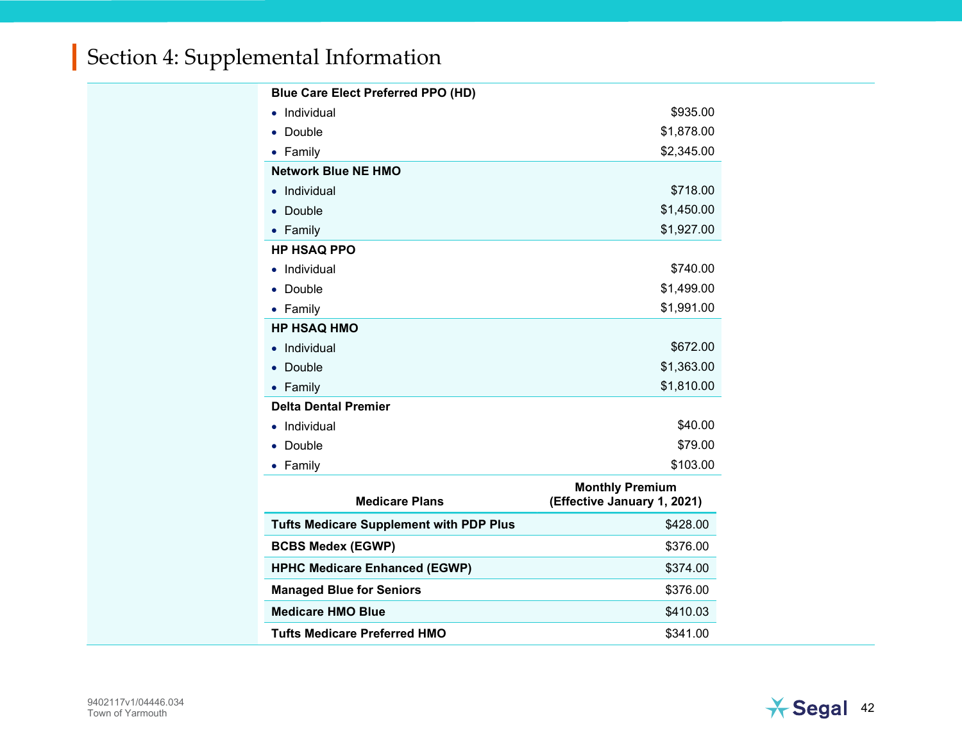| <b>Blue Care Elect Preferred PPO (HD)</b>      |                                                       |  |
|------------------------------------------------|-------------------------------------------------------|--|
| Individual                                     | \$935.00                                              |  |
| Double<br>٠                                    | \$1,878.00                                            |  |
| • Family                                       | \$2,345.00                                            |  |
| <b>Network Blue NE HMO</b>                     |                                                       |  |
| Individual<br>$\bullet$                        | \$718.00                                              |  |
| Double                                         | \$1,450.00                                            |  |
| • Family                                       | \$1,927.00                                            |  |
| <b>HP HSAQ PPO</b>                             |                                                       |  |
| Individual                                     | \$740.00                                              |  |
| Double                                         | \$1,499.00                                            |  |
| • Family                                       | \$1,991.00                                            |  |
| <b>HP HSAQ HMO</b>                             |                                                       |  |
| Individual<br>$\bullet$                        | \$672.00                                              |  |
| Double                                         | \$1,363.00                                            |  |
| $\bullet$ Family                               | \$1,810.00                                            |  |
| <b>Delta Dental Premier</b>                    |                                                       |  |
| Individual                                     | \$40.00                                               |  |
| Double                                         | \$79.00                                               |  |
| • Family                                       | \$103.00                                              |  |
| <b>Medicare Plans</b>                          | <b>Monthly Premium</b><br>(Effective January 1, 2021) |  |
| <b>Tufts Medicare Supplement with PDP Plus</b> | \$428.00                                              |  |
| <b>BCBS Medex (EGWP)</b>                       | \$376.00                                              |  |
| <b>HPHC Medicare Enhanced (EGWP)</b>           | \$374.00                                              |  |
| <b>Managed Blue for Seniors</b>                | \$376.00                                              |  |
| <b>Medicare HMO Blue</b>                       | \$410.03                                              |  |
| <b>Tufts Medicare Preferred HMO</b>            | \$341.00                                              |  |

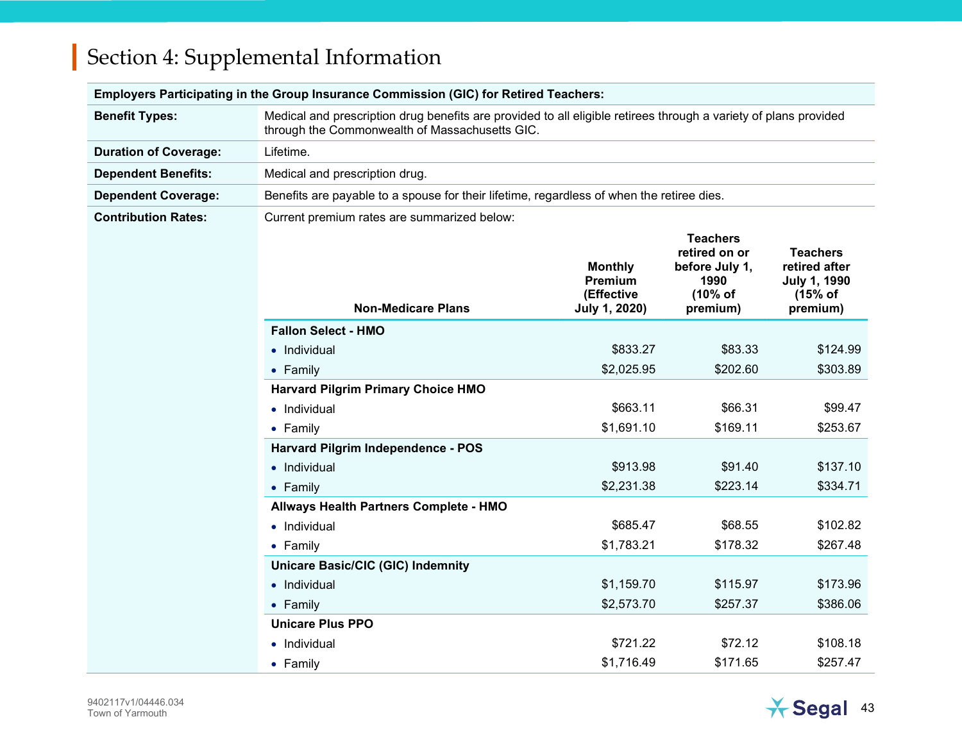| Employers Participating in the Group Insurance Commission (GIC) for Retired Teachers: |                                                                                                                                                                    |                                                          |                                                                                   |                                                                                  |
|---------------------------------------------------------------------------------------|--------------------------------------------------------------------------------------------------------------------------------------------------------------------|----------------------------------------------------------|-----------------------------------------------------------------------------------|----------------------------------------------------------------------------------|
| <b>Benefit Types:</b>                                                                 | Medical and prescription drug benefits are provided to all eligible retirees through a variety of plans provided<br>through the Commonwealth of Massachusetts GIC. |                                                          |                                                                                   |                                                                                  |
| <b>Duration of Coverage:</b>                                                          | Lifetime.                                                                                                                                                          |                                                          |                                                                                   |                                                                                  |
| <b>Dependent Benefits:</b>                                                            | Medical and prescription drug.                                                                                                                                     |                                                          |                                                                                   |                                                                                  |
| <b>Dependent Coverage:</b>                                                            | Benefits are payable to a spouse for their lifetime, regardless of when the retiree dies.                                                                          |                                                          |                                                                                   |                                                                                  |
| <b>Contribution Rates:</b>                                                            | Current premium rates are summarized below:                                                                                                                        |                                                          |                                                                                   |                                                                                  |
|                                                                                       | <b>Non-Medicare Plans</b>                                                                                                                                          | <b>Monthly</b><br>Premium<br>(Effective<br>July 1, 2020) | <b>Teachers</b><br>retired on or<br>before July 1,<br>1990<br>(10% of<br>premium) | <b>Teachers</b><br>retired after<br><b>July 1, 1990</b><br>$(15%$ of<br>premium) |
|                                                                                       | <b>Fallon Select - HMO</b>                                                                                                                                         |                                                          |                                                                                   |                                                                                  |
|                                                                                       | • Individual                                                                                                                                                       | \$833.27                                                 | \$83.33                                                                           | \$124.99                                                                         |
|                                                                                       | • Family                                                                                                                                                           | \$2,025.95                                               | \$202.60                                                                          | \$303.89                                                                         |
|                                                                                       | <b>Harvard Pilgrim Primary Choice HMO</b>                                                                                                                          |                                                          |                                                                                   |                                                                                  |
|                                                                                       | • Individual                                                                                                                                                       | \$663.11                                                 | \$66.31                                                                           | \$99.47                                                                          |
|                                                                                       | • Family                                                                                                                                                           | \$1,691.10                                               | \$169.11                                                                          | \$253.67                                                                         |
|                                                                                       | Harvard Pilgrim Independence - POS                                                                                                                                 |                                                          |                                                                                   |                                                                                  |
|                                                                                       | • Individual                                                                                                                                                       | \$913.98                                                 | \$91.40                                                                           | \$137.10                                                                         |
|                                                                                       | • Family                                                                                                                                                           | \$2,231.38                                               | \$223.14                                                                          | \$334.71                                                                         |
|                                                                                       | Allways Health Partners Complete - HMO                                                                                                                             |                                                          |                                                                                   |                                                                                  |
|                                                                                       | • Individual                                                                                                                                                       | \$685.47                                                 | \$68.55                                                                           | \$102.82                                                                         |
|                                                                                       | • Family                                                                                                                                                           | \$1,783.21                                               | \$178.32                                                                          | \$267.48                                                                         |
|                                                                                       | <b>Unicare Basic/CIC (GIC) Indemnity</b>                                                                                                                           |                                                          |                                                                                   |                                                                                  |
|                                                                                       | • Individual                                                                                                                                                       | \$1,159.70                                               | \$115.97                                                                          | \$173.96                                                                         |
|                                                                                       | • Family                                                                                                                                                           | \$2,573.70                                               | \$257.37                                                                          | \$386.06                                                                         |
|                                                                                       | <b>Unicare Plus PPO</b>                                                                                                                                            |                                                          |                                                                                   |                                                                                  |
|                                                                                       | • Individual                                                                                                                                                       | \$721.22                                                 | \$72.12                                                                           | \$108.18                                                                         |
|                                                                                       | • Family                                                                                                                                                           | \$1,716.49                                               | \$171.65                                                                          | \$257.47                                                                         |

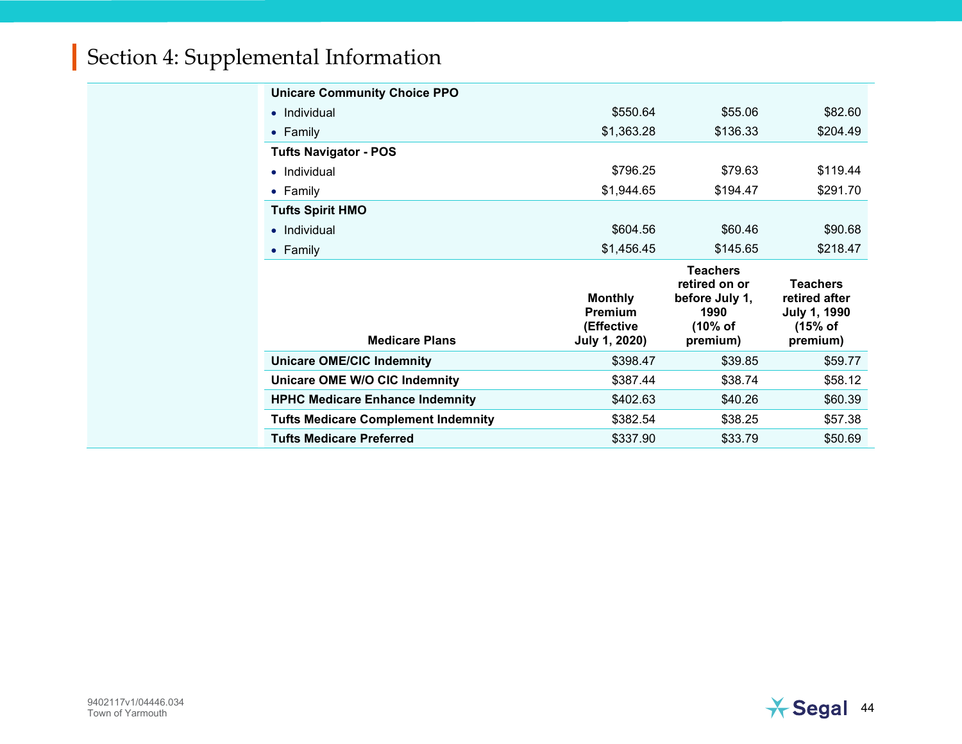| <b>Unicare Community Choice PPO</b>        |                                                                 |                                                                                   |                                                                                |
|--------------------------------------------|-----------------------------------------------------------------|-----------------------------------------------------------------------------------|--------------------------------------------------------------------------------|
| $\bullet$ Individual                       | \$550.64                                                        | \$55.06                                                                           | \$82.60                                                                        |
| • Family                                   | \$1,363.28                                                      | \$136.33                                                                          | \$204.49                                                                       |
| <b>Tufts Navigator - POS</b>               |                                                                 |                                                                                   |                                                                                |
| Individual<br>$\bullet$                    | \$796.25                                                        | \$79.63                                                                           | \$119.44                                                                       |
| • Family                                   | \$1,944.65                                                      | \$194.47                                                                          | \$291.70                                                                       |
| <b>Tufts Spirit HMO</b>                    |                                                                 |                                                                                   |                                                                                |
| Individual<br>$\bullet$                    | \$604.56                                                        | \$60.46                                                                           | \$90.68                                                                        |
| • Family                                   | \$1,456.45                                                      | \$145.65                                                                          | \$218.47                                                                       |
|                                            |                                                                 |                                                                                   |                                                                                |
| <b>Medicare Plans</b>                      | <b>Monthly</b><br><b>Premium</b><br>(Effective<br>July 1, 2020) | <b>Teachers</b><br>retired on or<br>before July 1,<br>1990<br>(10% of<br>premium) | <b>Teachers</b><br>retired after<br><b>July 1, 1990</b><br>(15% of<br>premium) |
| <b>Unicare OME/CIC Indemnity</b>           | \$398.47                                                        | \$39.85                                                                           | \$59.77                                                                        |
| Unicare OME W/O CIC Indemnity              | \$387.44                                                        | \$38.74                                                                           | \$58.12                                                                        |
| <b>HPHC Medicare Enhance Indemnity</b>     | \$402.63                                                        | \$40.26                                                                           | \$60.39                                                                        |
| <b>Tufts Medicare Complement Indemnity</b> | \$382.54                                                        | \$38.25                                                                           | \$57.38                                                                        |